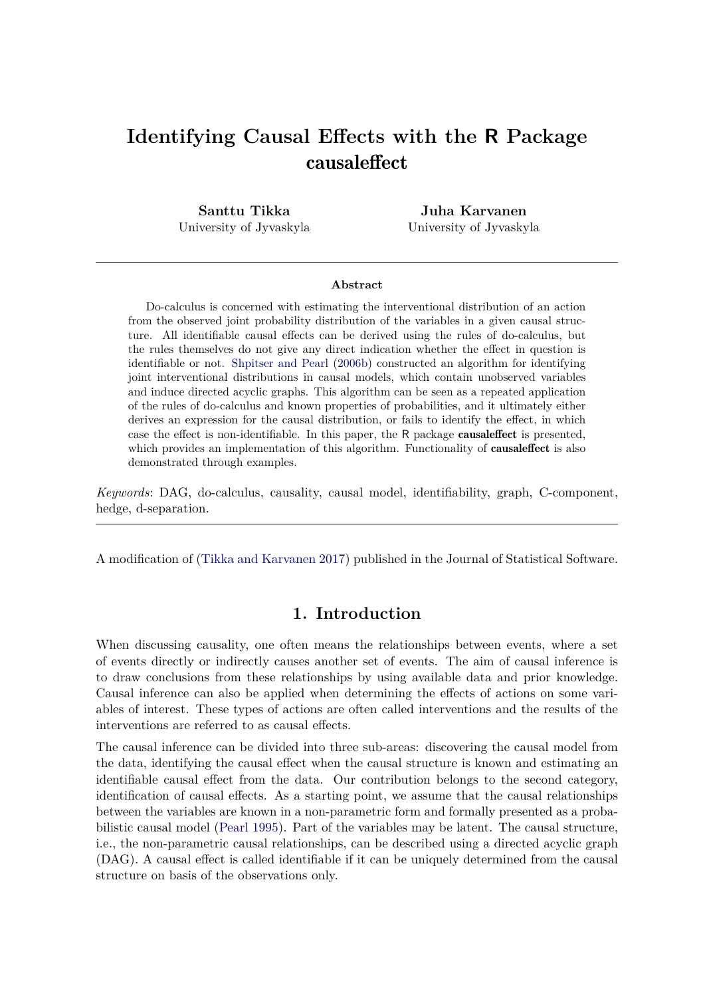# **Identifying Causal Effects with the R Package** causaleffect

**Santtu Tikka** University of Jyvaskyla

**Juha Karvanen** University of Jyvaskyla

#### **Abstract**

Do-calculus is concerned with estimating the interventional distribution of an action from the observed joint probability distribution of the variables in a given causal structure. All identifiable causal effects can be derived using the rules of do-calculus, but the rules themselves do not give any direct indication whether the effect in question is identifiable or not. [Shpitser and Pearl](#page-24-0) [\(2006b\)](#page-24-0) constructed an algorithm for identifying joint interventional distributions in causal models, which contain unobserved variables and induce directed acyclic graphs. This algorithm can be seen as a repeated application of the rules of do-calculus and known properties of probabilities, and it ultimately either derives an expression for the causal distribution, or fails to identify the effect, in which case the effect is non-identifiable. In this paper, the R package causaleffect is presented, which provides an implementation of this algorithm. Functionality of **causaleffect** is also demonstrated through examples.

*Keywords*: DAG, do-calculus, causality, causal model, identifiability, graph, C-component, hedge, d-separation.

A modification of [\(Tikka and Karvanen 2017\)](#page-24-1) published in the Journal of Statistical Software.

# **1. Introduction**

When discussing causality, one often means the relationships between events, where a set of events directly or indirectly causes another set of events. The aim of causal inference is to draw conclusions from these relationships by using available data and prior knowledge. Causal inference can also be applied when determining the effects of actions on some variables of interest. These types of actions are often called interventions and the results of the interventions are referred to as causal effects.

The causal inference can be divided into three sub-areas: discovering the causal model from the data, identifying the causal effect when the causal structure is known and estimating an identifiable causal effect from the data. Our contribution belongs to the second category, identification of causal effects. As a starting point, we assume that the causal relationships between the variables are known in a non-parametric form and formally presented as a probabilistic causal model [\(Pearl 1995\)](#page-23-0). Part of the variables may be latent. The causal structure, i.e., the non-parametric causal relationships, can be described using a directed acyclic graph (DAG). A causal effect is called identifiable if it can be uniquely determined from the causal structure on basis of the observations only.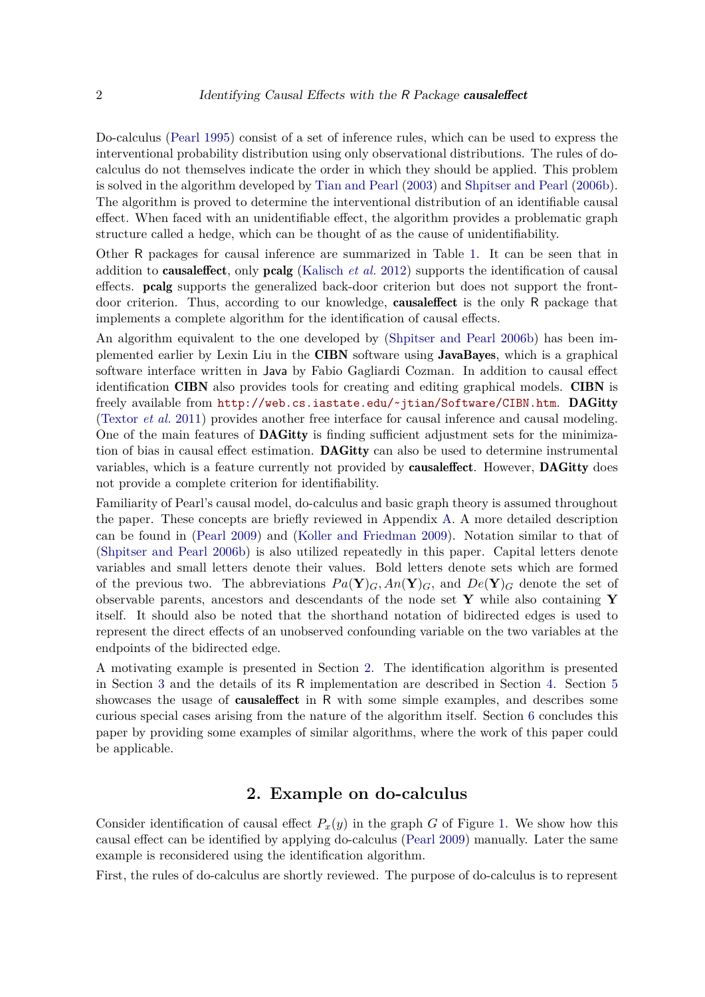Do-calculus [\(Pearl 1995\)](#page-23-0) consist of a set of inference rules, which can be used to express the interventional probability distribution using only observational distributions. The rules of docalculus do not themselves indicate the order in which they should be applied. This problem is solved in the algorithm developed by [Tian and Pearl](#page-24-2) [\(2003\)](#page-24-2) and [Shpitser and Pearl](#page-24-0) [\(2006b\)](#page-24-0). The algorithm is proved to determine the interventional distribution of an identifiable causal effect. When faced with an unidentifiable effect, the algorithm provides a problematic graph structure called a hedge, which can be thought of as the cause of unidentifiability.

Other R packages for causal inference are summarized in Table [1.](#page-2-0) It can be seen that in addition to causaleffect, only pcalg [\(Kalisch](#page-22-0) *et al.* [2012\)](#page-22-0) supports the identification of causal effects. pcalg supports the generalized back-door criterion but does not support the frontdoor criterion. Thus, according to our knowledge, causaleffect is the only R package that implements a complete algorithm for the identification of causal effects.

An algorithm equivalent to the one developed by [\(Shpitser and Pearl 2006b\)](#page-24-0) has been implemented earlier by Lexin Liu in the CIBN software using JavaBayes, which is a graphical software interface written in Java by Fabio Gagliardi Cozman. In addition to causal effect identification CIBN also provides tools for creating and editing graphical models. CIBN is freely available from <http://web.cs.iastate.edu/~jtian/Software/CIBN.htm>. DAGitty [\(Textor](#page-24-3) *et al.* [2011\)](#page-24-3) provides another free interface for causal inference and causal modeling. One of the main features of DAGitty is finding sufficient adjustment sets for the minimization of bias in causal effect estimation. DAGitty can also be used to determine instrumental variables, which is a feature currently not provided by causaleffect. However, DAGitty does not provide a complete criterion for identifiability.

Familiarity of Pearl's causal model, do-calculus and basic graph theory is assumed throughout the paper. These concepts are briefly reviewed in Appendix [A.](#page-25-0) A more detailed description can be found in [\(Pearl 2009\)](#page-23-1) and [\(Koller and Friedman 2009\)](#page-23-2). Notation similar to that of [\(Shpitser and Pearl 2006b\)](#page-24-0) is also utilized repeatedly in this paper. Capital letters denote variables and small letters denote their values. Bold letters denote sets which are formed of the previous two. The abbreviations  $Pa(Y)<sub>G</sub>, An(Y)<sub>G</sub>$ , and  $De(Y)<sub>G</sub>$  denote the set of observable parents, ancestors and descendants of the node set **Y** while also containing **Y** itself. It should also be noted that the shorthand notation of bidirected edges is used to represent the direct effects of an unobserved confounding variable on the two variables at the endpoints of the bidirected edge.

A motivating example is presented in Section [2.](#page-1-0) The identification algorithm is presented in Section [3](#page-4-0) and the details of its R implementation are described in Section [4.](#page-11-0) Section [5](#page-16-0) showcases the usage of causaleffect in R with some simple examples, and describes some curious special cases arising from the nature of the algorithm itself. Section [6](#page-21-0) concludes this paper by providing some examples of similar algorithms, where the work of this paper could be applicable.

# **2. Example on do-calculus**

<span id="page-1-0"></span>Consider identification of causal effect  $P_x(y)$  in the graph *G* of Figure [1.](#page-3-0) We show how this causal effect can be identified by applying do-calculus [\(Pearl 2009\)](#page-23-1) manually. Later the same example is reconsidered using the identification algorithm.

First, the rules of do-calculus are shortly reviewed. The purpose of do-calculus is to represent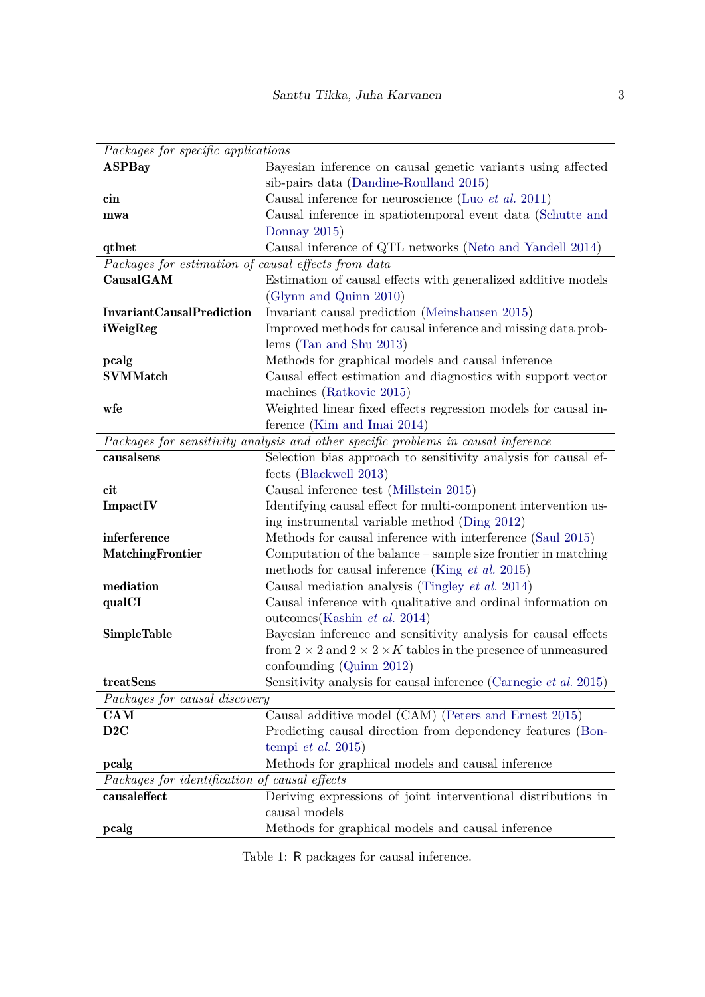<span id="page-2-0"></span>

| Packages for specific applications                                                |                                                                                  |
|-----------------------------------------------------------------------------------|----------------------------------------------------------------------------------|
| <b>ASPBay</b>                                                                     | Bayesian inference on causal genetic variants using affected                     |
|                                                                                   | sib-pairs data (Dandine-Roulland 2015)                                           |
| $\mathop{\mathrm{cin}}$                                                           | Causal inference for neuroscience (Luo <i>et al.</i> 2011)                       |
| mwa                                                                               | Causal inference in spatiotemporal event data (Schutte and                       |
|                                                                                   | Donnay 2015)                                                                     |
| qtlnet                                                                            | Causal inference of QTL networks (Neto and Yandell 2014)                         |
| Packages for estimation of causal effects from data                               |                                                                                  |
| CausalGAM                                                                         | Estimation of causal effects with generalized additive models                    |
|                                                                                   | (Glynn and Quinn 2010)                                                           |
| <b>InvariantCausalPrediction</b>                                                  | Invariant causal prediction (Meinshausen 2015)                                   |
| iWeigReg                                                                          | Improved methods for causal inference and missing data prob-                     |
|                                                                                   | lems (Tan and Shu $2013$ )                                                       |
| pcalg                                                                             | Methods for graphical models and causal inference                                |
| <b>SVMMatch</b>                                                                   | Causal effect estimation and diagnostics with support vector                     |
|                                                                                   | machines (Ratkovic 2015)                                                         |
| wfe                                                                               | Weighted linear fixed effects regression models for causal in-                   |
|                                                                                   | ference (Kim and Imai 2014)                                                      |
| Packages for sensitivity analysis and other specific problems in causal inference |                                                                                  |
| causalsens                                                                        | Selection bias approach to sensitivity analysis for causal ef-                   |
|                                                                                   | fects (Blackwell 2013)                                                           |
| cit                                                                               | Causal inference test (Millstein 2015)                                           |
| ImpactIV                                                                          | Identifying causal effect for multi-component intervention us-                   |
|                                                                                   | ing instrumental variable method (Ding 2012)                                     |
| inferference                                                                      | Methods for causal inference with interference (Saul 2015)                       |
| <b>MatchingFrontier</b>                                                           | Computation of the balance $-\$ sample size frontier in matching                 |
|                                                                                   | methods for causal inference (King $et$ al. 2015)                                |
| mediation                                                                         | Causal mediation analysis (Tingley <i>et al.</i> 2014)                           |
| qualCI                                                                            | Causal inference with qualitative and ordinal information on                     |
|                                                                                   | outcomes (Kashin et al. 2014)                                                    |
| <b>SimpleTable</b>                                                                | Bayesian inference and sensitivity analysis for causal effects                   |
|                                                                                   | from $2 \times 2$ and $2 \times 2 \times K$ tables in the presence of unmeasured |
|                                                                                   | confounding $(Quinn 2012)$                                                       |
| treatSens                                                                         | Sensitivity analysis for causal inference (Carnegie et al. 2015)                 |
| Packages for causal discovery                                                     |                                                                                  |
| <b>CAM</b>                                                                        | Causal additive model (CAM) (Peters and Ernest 2015)                             |
| D2C                                                                               | Predicting causal direction from dependency features (Bon-                       |
|                                                                                   | tempi et al. 2015)                                                               |
| pcalg                                                                             | Methods for graphical models and causal inference                                |
| Packages for identification of causal effects                                     |                                                                                  |
| causaleffect                                                                      | Deriving expressions of joint interventional distributions in                    |
|                                                                                   | causal models                                                                    |
| pcalg                                                                             | Methods for graphical models and causal inference                                |

Table 1: R packages for causal inference.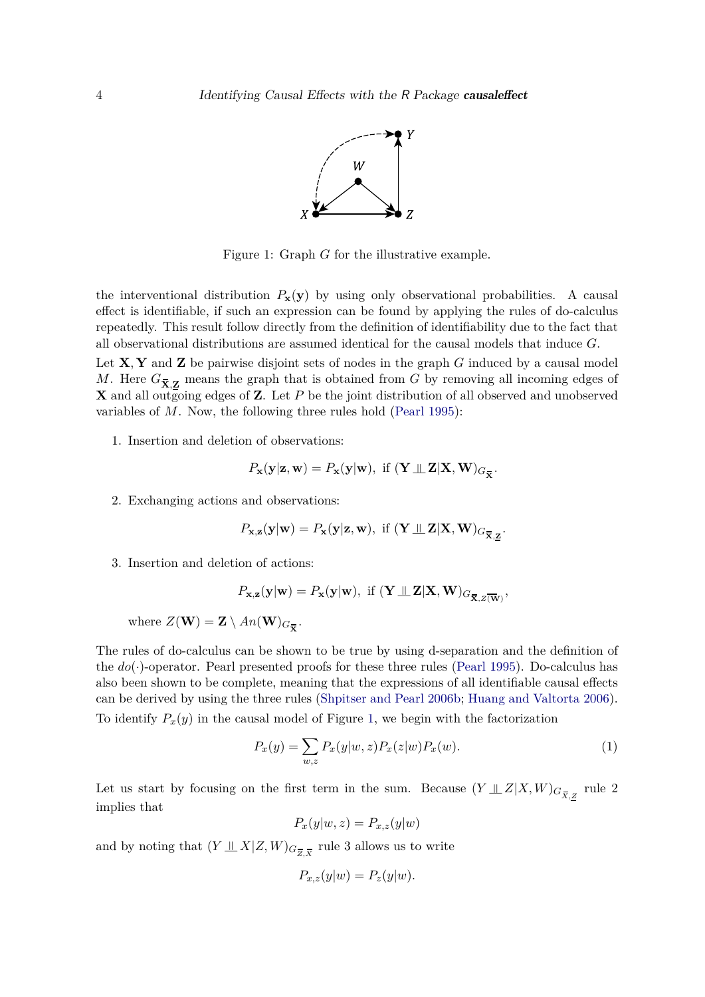

Figure 1: Graph *G* for the illustrative example.

<span id="page-3-0"></span>the interventional distribution  $P_{\bf{x}}({\bf{y}})$  by using only observational probabilities. A causal effect is identifiable, if such an expression can be found by applying the rules of do-calculus repeatedly. This result follow directly from the definition of identifiability due to the fact that all observational distributions are assumed identical for the causal models that induce *G*.

Let **X***,* **Y** and **Z** be pairwise disjoint sets of nodes in the graph *G* induced by a causal model *M*. Here  $G_{\overline{X},\mathbf{Z}}$  means the graph that is obtained from *G* by removing all incoming edges of **X** and all outgoing edges of **Z**. Let *P* be the joint distribution of all observed and unobserved variables of *M*. Now, the following three rules hold [\(Pearl 1995\)](#page-23-0):

1. Insertion and deletion of observations:

$$
P_{\mathbf{x}}(\mathbf{y}|\mathbf{z},\mathbf{w}) = P_{\mathbf{x}}(\mathbf{y}|\mathbf{w}), \text{ if } (\mathbf{Y} \perp \!\!\! \perp \mathbf{Z}|\mathbf{X},\mathbf{W})_{G_{\overline{\mathbf{X}}}}.
$$

2. Exchanging actions and observations:

$$
P_{\mathbf{x},\mathbf{z}}(\mathbf{y}|\mathbf{w}) = P_{\mathbf{x}}(\mathbf{y}|\mathbf{z},\mathbf{w}), \text{ if } (\mathbf{Y} \perp \!\!\! \perp \mathbf{Z}|\mathbf{X},\mathbf{W})_{G_{\overline{\mathbf{X}},\mathbf{Z}}}.
$$

3. Insertion and deletion of actions:

$$
P_{\mathbf{x},\mathbf{z}}(\mathbf{y}|\mathbf{w}) = P_{\mathbf{x}}(\mathbf{y}|\mathbf{w}), \text{ if } (\mathbf{Y} \perp \mathbf{Z}|\mathbf{X},\mathbf{W})_{G_{\overline{\mathbf{X}},Z(\overline{\mathbf{W}})}},
$$

where  $Z(\mathbf{W}) = \mathbf{Z} \setminus An(\mathbf{W})_{G_{\overline{\mathbf{X}}}}$ .

The rules of do-calculus can be shown to be true by using d-separation and the definition of the  $do(\cdot)$ -operator. Pearl presented proofs for these three rules [\(Pearl 1995\)](#page-23-0). Do-calculus has also been shown to be complete, meaning that the expressions of all identifiable causal effects can be derived by using the three rules [\(Shpitser and Pearl 2006b;](#page-24-0) [Huang and Valtorta 2006\)](#page-22-7). To identify  $P_x(y)$  in the causal model of Figure [1,](#page-3-0) we begin with the factorization

$$
P_x(y) = \sum_{w,z} P_x(y|w,z) P_x(z|w) P_x(w).
$$
 (1)

Let us start by focusing on the first term in the sum. Because  $(Y \perp\!\!\!\perp Z | X, W)_{G_{\overline{X},Z}}$  rule 2 implies that

<span id="page-3-1"></span>
$$
P_x(y|w,z) = P_{x,z}(y|w)
$$

and by noting that  $(Y \perp\!\!\!\perp X | Z, W)_{G_{\overline{Z}, \overline{X}}}$  rule 3 allows us to write

$$
P_{x,z}(y|w) = P_z(y|w).
$$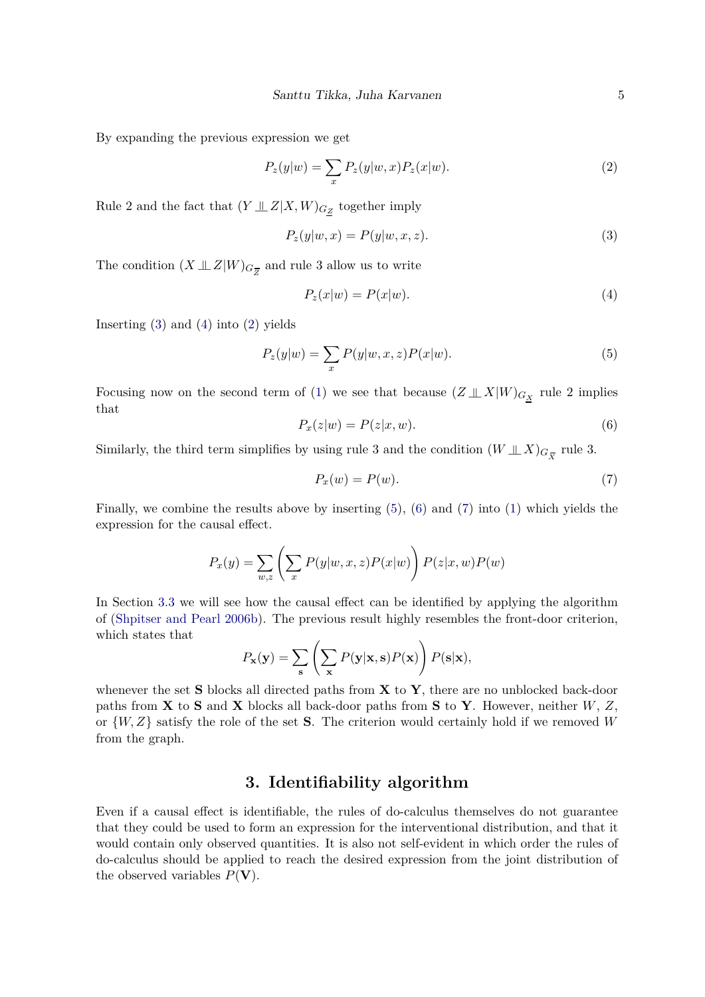By expanding the previous expression we get

<span id="page-4-3"></span>
$$
P_z(y|w) = \sum_x P_z(y|w, x) P_z(x|w).
$$
\n(2)

Rule 2 and the fact that  $(Y \perp\!\!\!\perp Z | X, W)_{G_Z}$  together imply

<span id="page-4-1"></span>
$$
P_z(y|w,x) = P(y|w,x,z).
$$
\n(3)

The condition  $(X \perp\!\!\!\perp Z|W)_{G_{\overline{Z}}}$  and rule 3 allow us to write

<span id="page-4-4"></span><span id="page-4-2"></span>
$$
P_z(x|w) = P(x|w). \tag{4}
$$

Inserting  $(3)$  and  $(4)$  into  $(2)$  yields

$$
P_z(y|w) = \sum_x P(y|w, x, z)P(x|w).
$$
\n(5)

<span id="page-4-5"></span>Focusing now on the second term of [\(1\)](#page-3-1) we see that because  $(Z \perp\!\!\!\perp X|W)_{G_X}$  rule 2 implies that

$$
P_x(z|w) = P(z|x, w). \tag{6}
$$

Similarly, the third term simplifies by using rule 3 and the condition  $(W \perp\!\!\!\perp X)_{G_{\overline{X}}}$  rule 3.

<span id="page-4-6"></span>
$$
P_x(w) = P(w). \tag{7}
$$

Finally, we combine the results above by inserting [\(5\)](#page-4-4), [\(6\)](#page-4-5) and [\(7\)](#page-4-6) into [\(1\)](#page-3-1) which yields the expression for the causal effect.

$$
P_x(y) = \sum_{w,z} \left( \sum_x P(y|w,x,z) P(x|w) \right) P(z|x,w) P(w)
$$

In Section [3.3](#page-9-0) we will see how the causal effect can be identified by applying the algorithm of [\(Shpitser and Pearl 2006b\)](#page-24-0). The previous result highly resembles the front-door criterion, which states that

$$
P_{\mathbf{x}}(\mathbf{y}) = \sum_{\mathbf{s}} \left( \sum_{\mathbf{x}} P(\mathbf{y}|\mathbf{x}, \mathbf{s}) P(\mathbf{x}) \right) P(\mathbf{s}|\mathbf{x}),
$$

whenever the set **S** blocks all directed paths from **X** to **Y**, there are no unblocked back-door paths from **X** to **S** and **X** blocks all back-door paths from **S** to **Y**. However, neither *W*, *Z*, or  $\{W, Z\}$  satisfy the role of the set **S**. The criterion would certainly hold if we removed *W* from the graph.

# **3. Identifiability algorithm**

<span id="page-4-0"></span>Even if a causal effect is identifiable, the rules of do-calculus themselves do not guarantee that they could be used to form an expression for the interventional distribution, and that it would contain only observed quantities. It is also not self-evident in which order the rules of do-calculus should be applied to reach the desired expression from the joint distribution of the observed variables  $P(\mathbf{V})$ .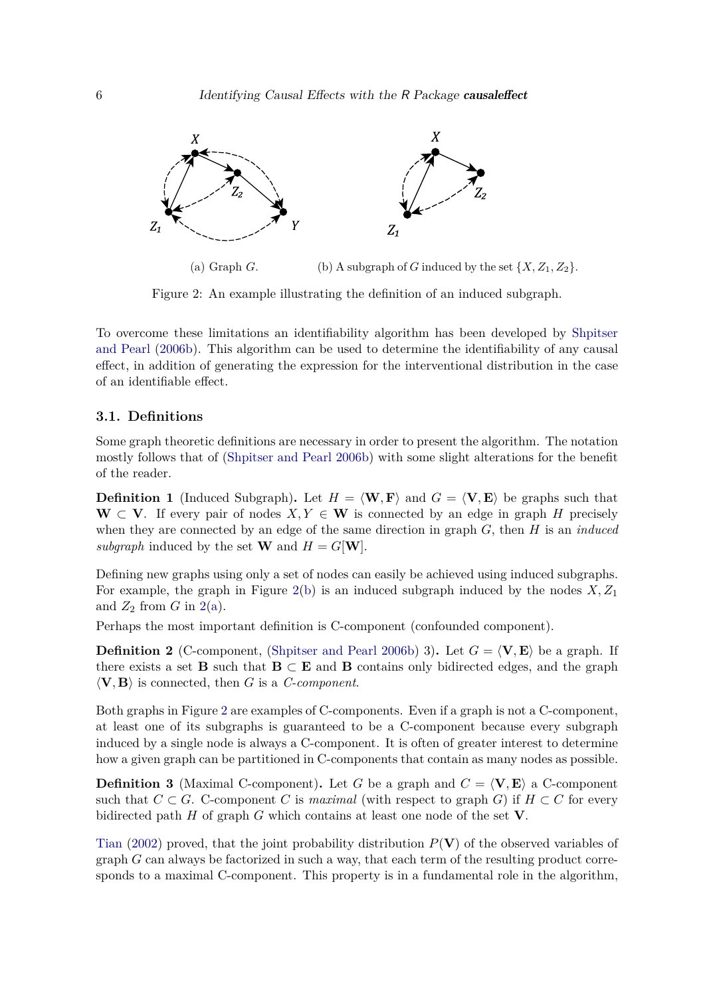<span id="page-5-0"></span>

(a) Graph *G*. (b) A subgraph of *G* induced by the set  $\{X, Z_1, Z_2\}$ .

Figure 2: An example illustrating the definition of an induced subgraph.

To overcome these limitations an identifiability algorithm has been developed by [Shpitser](#page-24-0) [and Pearl](#page-24-0) [\(2006b\)](#page-24-0). This algorithm can be used to determine the identifiability of any causal effect, in addition of generating the expression for the interventional distribution in the case of an identifiable effect.

### <span id="page-5-1"></span>**3.1. Definitions**

Some graph theoretic definitions are necessary in order to present the algorithm. The notation mostly follows that of [\(Shpitser and Pearl 2006b\)](#page-24-0) with some slight alterations for the benefit of the reader.

**Definition 1** (Induced Subgraph). Let  $H = \langle \mathbf{W}, \mathbf{F} \rangle$  and  $G = \langle \mathbf{V}, \mathbf{E} \rangle$  be graphs such that **W** ⊂ **V**. If every pair of nodes *X,Y* ∈ **W** is connected by an edge in graph *H* precisely when they are connected by an edge of the same direction in graph *G*, then *H* is an *induced subgraph* induced by the set **W** and  $H = G[\mathbf{W}]$ .

Defining new graphs using only a set of nodes can easily be achieved using induced subgraphs. For example, the graph in Figure  $2(b)$  is an induced subgraph induced by the nodes  $X, Z_1$ and  $Z_2$  from  $G$  in  $2(a)$ .

Perhaps the most important definition is C-component (confounded component).

**Definition 2** (C-component, [\(Shpitser and Pearl 2006b\)](#page-24-0) 3). Let  $G = \langle \mathbf{V}, \mathbf{E} \rangle$  be a graph. If there exists a set **B** such that  $B \subset E$  and **B** contains only bidirected edges, and the graph  $\langle \mathbf{V}, \mathbf{B} \rangle$  is connected, then *G* is a *C-component*.

Both graphs in Figure [2](#page-5-0) are examples of C-components. Even if a graph is not a C-component, at least one of its subgraphs is guaranteed to be a C-component because every subgraph induced by a single node is always a C-component. It is often of greater interest to determine how a given graph can be partitioned in C-components that contain as many nodes as possible.

**Definition 3** (Maximal C-component). Let *G* be a graph and  $C = \langle V, E \rangle$  a C-component such that  $C \subset G$ . C-component *C* is *maximal* (with respect to graph *G*) if  $H \subset C$  for every bidirected path *H* of graph *G* which contains at least one node of the set **V**.

[Tian](#page-24-8) [\(2002\)](#page-24-8) proved, that the joint probability distribution *P*(**V**) of the observed variables of graph *G* can always be factorized in such a way, that each term of the resulting product corresponds to a maximal C-component. This property is in a fundamental role in the algorithm,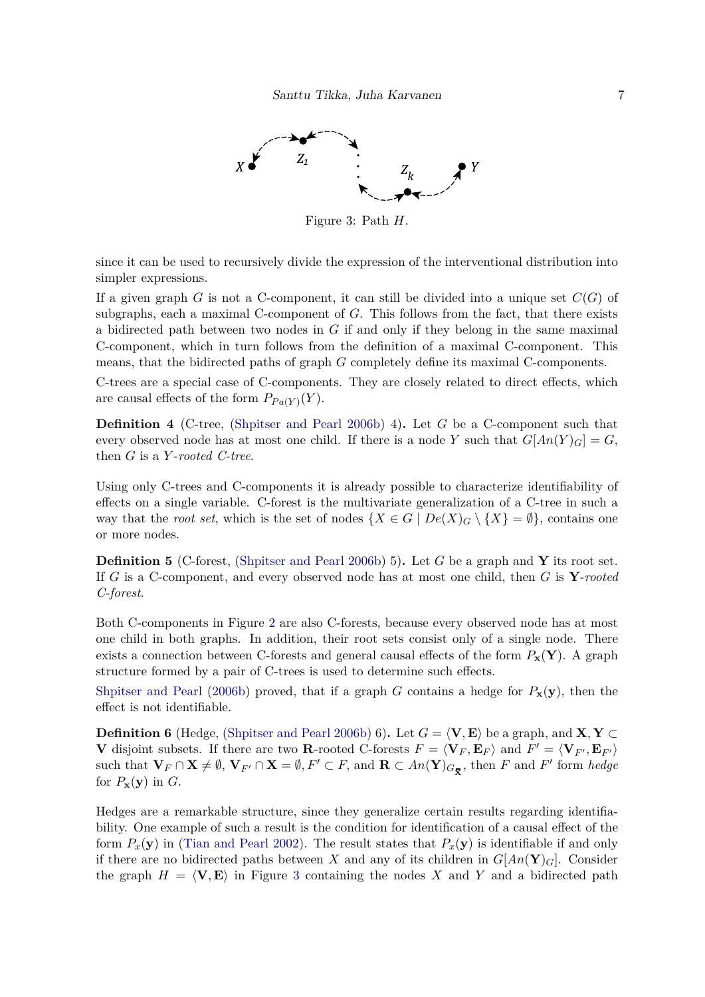<span id="page-6-0"></span>

Figure 3: Path *H*.

since it can be used to recursively divide the expression of the interventional distribution into simpler expressions.

If a given graph *G* is not a C-component, it can still be divided into a unique set *C*(*G*) of subgraphs, each a maximal C-component of *G*. This follows from the fact, that there exists a bidirected path between two nodes in *G* if and only if they belong in the same maximal C-component, which in turn follows from the definition of a maximal C-component. This means, that the bidirected paths of graph *G* completely define its maximal C-components.

C-trees are a special case of C-components. They are closely related to direct effects, which are causal effects of the form  $P_{Pa(Y)}(Y)$ .

**Definition 4** (C-tree, [\(Shpitser and Pearl 2006b\)](#page-24-0) 4)**.** Let *G* be a C-component such that every observed node has at most one child. If there is a node *Y* such that  $G[An(Y)_{G}] = G$ , then *G* is a *Y* -*rooted C-tree*.

Using only C-trees and C-components it is already possible to characterize identifiability of effects on a single variable. C-forest is the multivariate generalization of a C-tree in such a way that the *root set*, which is the set of nodes  $\{X \in G \mid De(X)_{G} \setminus \{X\} = \emptyset\}$ , contains one or more nodes.

**Definition 5** (C-forest, [\(Shpitser and Pearl 2006b\)](#page-24-0) 5)**.** Let *G* be a graph and **Y** its root set. If *G* is a C-component, and every observed node has at most one child, then *G* is **Y**-*rooted C-forest*.

Both C-components in Figure [2](#page-5-0) are also C-forests, because every observed node has at most one child in both graphs. In addition, their root sets consist only of a single node. There exists a connection between C-forests and general causal effects of the form  $P_{\mathbf{x}}(\mathbf{Y})$ . A graph structure formed by a pair of C-trees is used to determine such effects.

[Shpitser and Pearl](#page-24-0) [\(2006b\)](#page-24-0) proved, that if a graph *G* contains a hedge for  $P_x(y)$ , then the effect is not identifiable.

**Definition 6** (Hedge, [\(Shpitser and Pearl 2006b\)](#page-24-0) 6). Let  $G = \langle \mathbf{V}, \mathbf{E} \rangle$  be a graph, and  $\mathbf{X}, \mathbf{Y} \subset$ **V** disjoint subsets. If there are two **R**-rooted C-forests  $F = \langle \mathbf{V}_F, \mathbf{E}_F \rangle$  and  $F' = \langle \mathbf{V}_{F'}, \mathbf{E}_{F'} \rangle$ such that  $\mathbf{V}_F \cap \mathbf{X} \neq \emptyset$ ,  $\mathbf{V}_{F'} \cap \mathbf{X} = \emptyset$ ,  $F' \subset F$ , and  $\mathbf{R} \subset An(\mathbf{Y})_{G_{\overline{\mathbf{X}}}}$ , then F and F' form *hedge* for  $P_{\mathbf{x}}(\mathbf{y})$  in  $G$ .

Hedges are a remarkable structure, since they generalize certain results regarding identifiability. One example of such a result is the condition for identification of a causal effect of the form  $P_x(\mathbf{y})$  in [\(Tian and Pearl 2002\)](#page-24-9). The result states that  $P_x(\mathbf{y})$  is identifiable if and only if there are no bidirected paths between *X* and any of its children in  $G[An(\mathbf{Y})_G]$ . Consider the graph  $H = \langle V, E \rangle$  in Figure [3](#page-6-0) containing the nodes X and Y and a bidirected path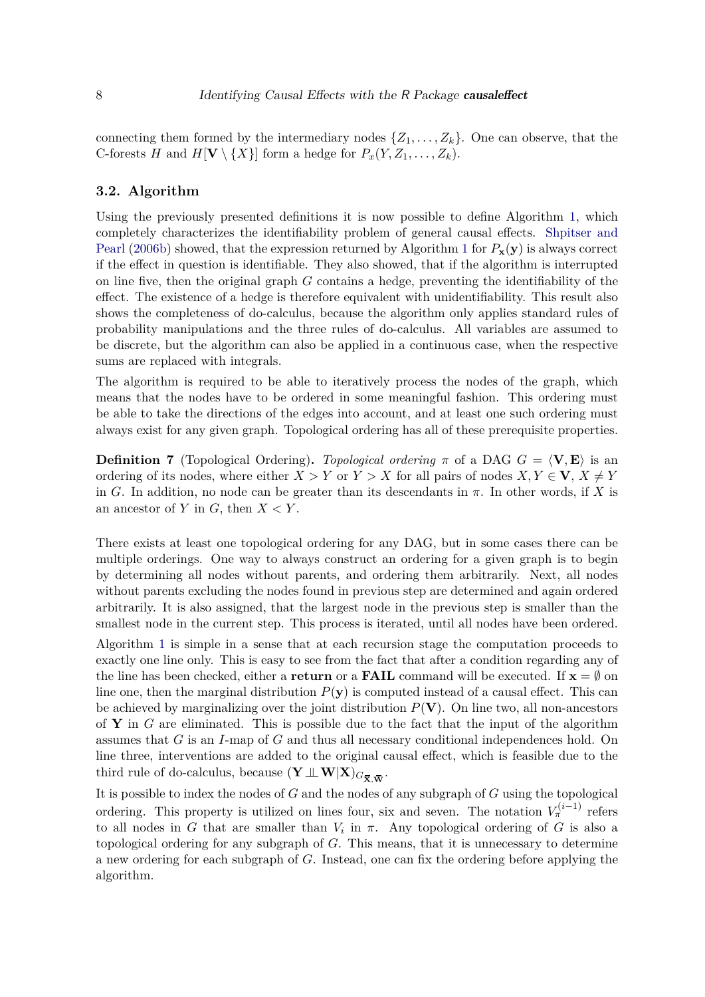connecting them formed by the intermediary nodes  $\{Z_1, \ldots, Z_k\}$ . One can observe, that the C-forests *H* and  $H[\mathbf{V} \setminus \{X\}]$  form a hedge for  $P_x(Y, Z_1, \ldots, Z_k)$ .

### <span id="page-7-0"></span>**3.2. Algorithm**

Using the previously presented definitions it is now possible to define Algorithm [1,](#page-8-0) which completely characterizes the identifiability problem of general causal effects. [Shpitser and](#page-24-0) [Pearl](#page-24-0) [\(2006b\)](#page-24-0) showed, that the expression returned by Algorithm [1](#page-8-0) for  $P_{\mathbf{x}}(\mathbf{y})$  is always correct if the effect in question is identifiable. They also showed, that if the algorithm is interrupted on line five, then the original graph *G* contains a hedge, preventing the identifiability of the effect. The existence of a hedge is therefore equivalent with unidentifiability. This result also shows the completeness of do-calculus, because the algorithm only applies standard rules of probability manipulations and the three rules of do-calculus. All variables are assumed to be discrete, but the algorithm can also be applied in a continuous case, when the respective sums are replaced with integrals.

The algorithm is required to be able to iteratively process the nodes of the graph, which means that the nodes have to be ordered in some meaningful fashion. This ordering must be able to take the directions of the edges into account, and at least one such ordering must always exist for any given graph. Topological ordering has all of these prerequisite properties.

**Definition 7** (Topological Ordering). *Topological ordering*  $\pi$  of a DAG  $G = \langle V, E \rangle$  is an ordering of its nodes, where either  $X > Y$  or  $Y > X$  for all pairs of nodes  $X, Y \in V$ ,  $X \neq Y$ in *G*. In addition, no node can be greater than its descendants in  $\pi$ . In other words, if *X* is an ancestor of  $Y$  in  $G$ , then  $X \leq Y$ .

There exists at least one topological ordering for any DAG, but in some cases there can be multiple orderings. One way to always construct an ordering for a given graph is to begin by determining all nodes without parents, and ordering them arbitrarily. Next, all nodes without parents excluding the nodes found in previous step are determined and again ordered arbitrarily. It is also assigned, that the largest node in the previous step is smaller than the smallest node in the current step. This process is iterated, until all nodes have been ordered.

Algorithm [1](#page-8-0) is simple in a sense that at each recursion stage the computation proceeds to exactly one line only. This is easy to see from the fact that after a condition regarding any of the line has been checked, either a **return** or a **FAIL** command will be executed. If  $\mathbf{x} = \emptyset$  on line one, then the marginal distribution  $P(\mathbf{y})$  is computed instead of a causal effect. This can be achieved by marginalizing over the joint distribution  $P(\mathbf{V})$ . On line two, all non-ancestors of **Y** in *G* are eliminated. This is possible due to the fact that the input of the algorithm assumes that *G* is an *I*-map of *G* and thus all necessary conditional independences hold. On line three, interventions are added to the original causal effect, which is feasible due to the third rule of do-calculus, because  $(\mathbf{Y} \perp\!\!\!\perp \mathbf{W}|\mathbf{X})_{G_{\overline{\mathbf{X}},\overline{\mathbf{W}}}}$ .

It is possible to index the nodes of *G* and the nodes of any subgraph of *G* using the topological ordering. This property is utilized on lines four, six and seven. The notation  $V_{\pi}^{(i-1)}$  refers to all nodes in *G* that are smaller than  $V_i$  in  $\pi$ . Any topological ordering of *G* is also a topological ordering for any subgraph of *G*. This means, that it is unnecessary to determine a new ordering for each subgraph of *G*. Instead, one can fix the ordering before applying the algorithm.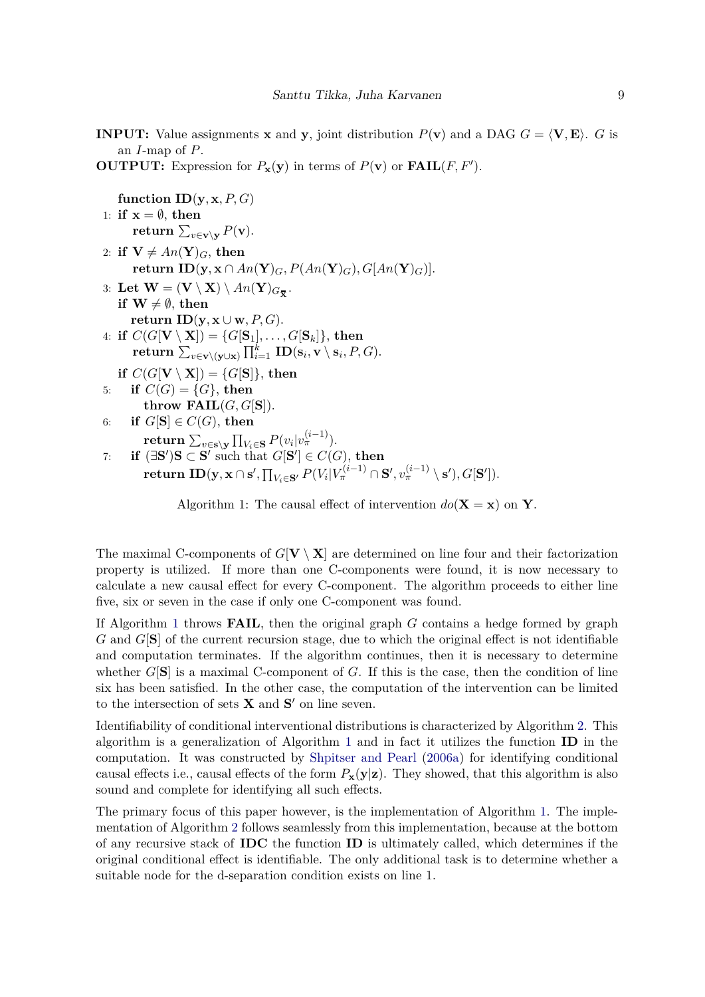<span id="page-8-0"></span>**INPUT:** Value assignments **x** and **y**, joint distribution  $P(\mathbf{v})$  and a DAG  $G = \langle \mathbf{V}, \mathbf{E} \rangle$ . *G* is an *I*-map of *P*.

**OUTPUT:** Expression for  $P_{\mathbf{x}}(\mathbf{y})$  in terms of  $P(\mathbf{v})$  or  $\textbf{FAIL}(F, F')$ .

```
function ID(y, x, P, G)1: if x = \emptyset, then
           \mathbf{return} \, \sum_{v \in \mathbf{v} \setminus \mathbf{y}} P(\mathbf{v}).2: if V \neq An(Y)<sub>G</sub>, then
           return ID(y, x \cap An(Y)G, P(An(Y)G), G[An(Y)G)].
3: Let \mathbf{W} = (\mathbf{V} \setminus \mathbf{X}) \setminus An(\mathbf{Y})_{G_{\overline{\mathbf{X}}}}.if W \neq \emptyset, then
          return ID(\mathbf{y}, \mathbf{x} \cup \mathbf{w}, P, G).
4: if C(G[\mathbf{V} \setminus \mathbf{X}]) = \{G[\mathbf{S}_1], \ldots, G[\mathbf{S}_k]\},\ then
           \mathbf{return} \: \sum_{v \in \mathbf{v} \setminus (\mathbf{y} \cup \mathbf{x})} \prod_{i=1}^k \: \mathbf{ID}(\mathbf{s}_i, \mathbf{v} \setminus \mathbf{s}_i, P, G).if C(G[\mathbf{V} \setminus \mathbf{X}]) = \{G[\mathbf{S}]\}\, then
5: if C(G) = \{G\}, then
               throw FAIL(G, G[S]).
6: if G[S] \in C(G), then
                \mathbf{return} \, \sum_{v \in \mathbf{s} \setminus \mathbf{y}} \prod_{V_i \in \mathbf{S}} P(v_i|v_\pi^{(i-1)}).7: if (\exists \mathbf{S}')\mathbf{S} \subset \mathbf{S}' such that G[\mathbf{S}'] \in C(G), then
                \textbf{return } \textbf{ID}(\textbf{y},\textbf{x} \cap \textbf{s}',\textstyle\prod_{V_i \in \textbf{S}'} P(V_i | V_\pi^{(i-1)} \cap \textbf{S}', v_\pi^{(i-1)} \setminus \textbf{s}'), G[\textbf{S}']).
```
The maximal C-components of  $G[V \setminus X]$  are determined on line four and their factorization property is utilized. If more than one C-components were found, it is now necessary to calculate a new causal effect for every C-component. The algorithm proceeds to either line five, six or seven in the case if only one C-component was found.

If Algorithm [1](#page-8-0) throws **FAIL**, then the original graph *G* contains a hedge formed by graph *G* and *G*[**S**] of the current recursion stage, due to which the original effect is not identifiable and computation terminates. If the algorithm continues, then it is necessary to determine whether  $G[S]$  is a maximal C-component of  $G$ . If this is the case, then the condition of line six has been satisfied. In the other case, the computation of the intervention can be limited to the intersection of sets  $X$  and  $S'$  on line seven.

Identifiability of conditional interventional distributions is characterized by Algorithm [2.](#page-9-1) This algorithm is a generalization of Algorithm [1](#page-8-0) and in fact it utilizes the function **ID** in the computation. It was constructed by [Shpitser and Pearl](#page-24-10) [\(2006a\)](#page-24-10) for identifying conditional causal effects i.e., causal effects of the form  $P_{\mathbf{x}}(\mathbf{y}|\mathbf{z})$ . They showed, that this algorithm is also sound and complete for identifying all such effects.

The primary focus of this paper however, is the implementation of Algorithm [1.](#page-8-0) The implementation of Algorithm [2](#page-9-1) follows seamlessly from this implementation, because at the bottom of any recursive stack of **IDC** the function **ID** is ultimately called, which determines if the original conditional effect is identifiable. The only additional task is to determine whether a suitable node for the d-separation condition exists on line 1.

Algorithm 1: The causal effect of intervention  $do(X = x)$  on **Y**.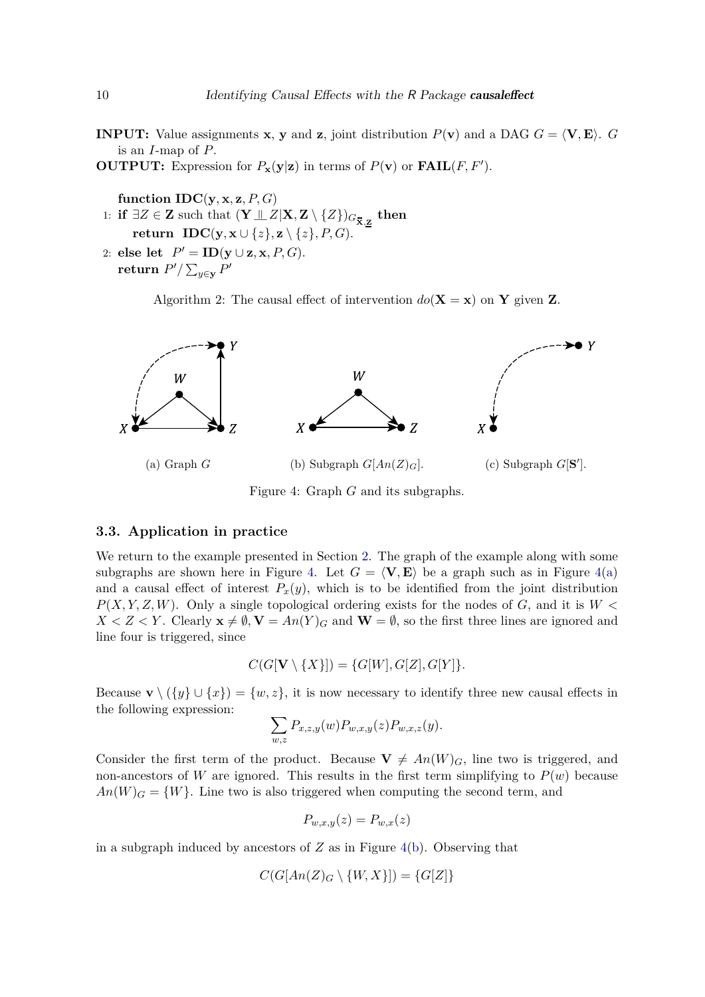<span id="page-9-1"></span>**INPUT:** Value assignments **x**, **y** and **z**, joint distribution  $P(\mathbf{v})$  and a DAG  $G = \langle \mathbf{V}, \mathbf{E} \rangle$ .  $G$ is an *I*-map of *P*.

**OUTPUT:** Expression for  $P_{\mathbf{x}}(\mathbf{y}|\mathbf{z})$  in terms of  $P(\mathbf{v})$  or  $\textbf{FAIL}(F, F')$ .

**function**  $IDC(y, x, z, P, G)$ 

- $1:$  **if** ∃*Z* ∈ **Z** such that  $(\mathbf{Y} \perp\!\!\!\perp Z | \mathbf{X}, \mathbf{Z} \setminus \{Z\})_{G_{\overline{\mathbf{X}}, \mathbf{Z}}}$  then **return IDC**( $\mathbf{y}, \mathbf{x} \cup \{z\}, \mathbf{z} \setminus \{z\}, P, G$ ).
- 2: **else** let  $P' = \text{ID}(y \cup z, x, P, G)$ .  $\mathbf{return} \; P' / \sum_{y \in \mathbf{y}} P'$

Algorithm 2: The causal effect of intervention  $do(X = x)$  on Y given Z.

<span id="page-9-2"></span>

Figure 4: Graph *G* and its subgraphs.

#### <span id="page-9-0"></span>**3.3. Application in practice**

We return to the example presented in Section [2.](#page-1-0) The graph of the example along with some subgraphs are shown here in Figure [4.](#page-9-2) Let  $G = \langle V, E \rangle$  be a graph such as in Figure [4\(a\)](#page-9-2) and a causal effect of interest  $P_x(y)$ , which is to be identified from the joint distribution *P*(*X, Y, Z, W*). Only a single topological ordering exists for the nodes of *G*, and it is *W <*  $X < Z < Y$ . Clearly  $\mathbf{x} \neq \emptyset$ ,  $\mathbf{V} = An(Y)_{G}$  and  $\mathbf{W} = \emptyset$ , so the first three lines are ignored and line four is triggered, since

$$
C(G[\mathbf{V}\setminus\{X\}])=\{G[W],G[Z],G[Y]\}.
$$

Because **v**  $\setminus (\{y\} \cup \{x\}) = \{w, z\}$ , it is now necessary to identify three new causal effects in the following expression:

$$
\sum_{w,z} P_{x,z,y}(w) P_{w,x,y}(z) P_{w,x,z}(y).
$$

Consider the first term of the product. Because  $\mathbf{V} \neq An(W)_{G}$ , line two is triggered, and non-ancestors of *W* are ignored. This results in the first term simplifying to  $P(w)$  because  $An(W)$ <sup>*G*</sup> = {*W*}. Line two is also triggered when computing the second term, and

$$
P_{w,x,y}(z) = P_{w,x}(z)
$$

in a subgraph induced by ancestors of *Z* as in Figure [4\(b\)](#page-9-2). Observing that

$$
C(G[An(Z)_G \setminus \{W, X\}]) = \{G[Z]\}
$$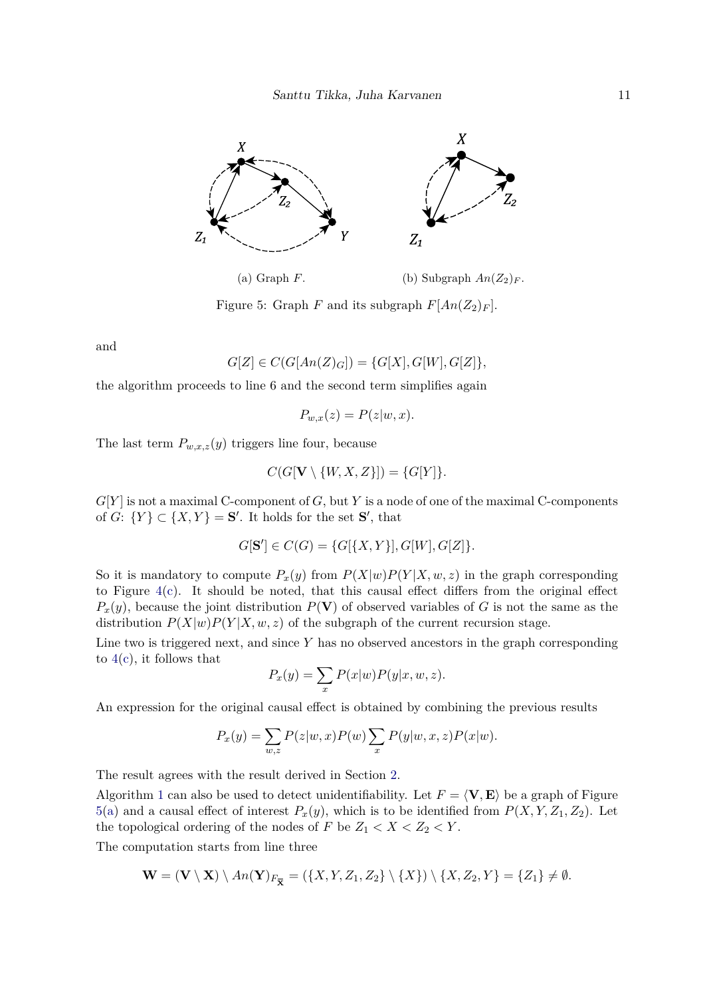<span id="page-10-0"></span>

(a) Graph *F*. (b) Subgraph  $An(Z_2)_F$ .

Figure 5: Graph *F* and its subgraph  $F[An(Z_2)_F]$ .

and

$$
G[Z] \in C(G[An(Z)_{G}]) = \{G[X], G[W], G[Z]\},\
$$

the algorithm proceeds to line 6 and the second term simplifies again

$$
P_{w,x}(z) = P(z|w, x).
$$

The last term  $P_{w,x,z}(y)$  triggers line four, because

$$
C(G[\mathbf{V}\setminus\{W,X,Z\}])=\{G[Y]\}.
$$

*G*[*Y* ] is not a maximal C-component of *G*, but *Y* is a node of one of the maximal C-components of *G*:  $\{Y\} \subset \{X, Y\} = \mathbf{S}'$ . It holds for the set  $\mathbf{S}'$ , that

$$
G[\mathbf{S'}] \in C(G) = \{G[\{X, Y\}], G[W], G[Z]\}.
$$

So it is mandatory to compute  $P_x(y)$  from  $P(X|w)P(Y|X, w, z)$  in the graph corresponding to Figure  $4(c)$ . It should be noted, that this causal effect differs from the original effect  $P_x(y)$ , because the joint distribution  $P(\mathbf{V})$  of observed variables of *G* is not the same as the distribution  $P(X|w)P(Y|X, w, z)$  of the subgraph of the current recursion stage.

Line two is triggered next, and since *Y* has no observed ancestors in the graph corresponding to  $4(c)$ , it follows that

$$
P_x(y) = \sum_x P(x|w)P(y|x, w, z).
$$

An expression for the original causal effect is obtained by combining the previous results

$$
P_x(y) = \sum_{w,z} P(z|w,x)P(w) \sum_x P(y|w,x,z)P(x|w).
$$

The result agrees with the result derived in Section [2.](#page-1-0)

Algorithm [1](#page-8-0) can also be used to detect unidentifiability. Let  $F = \langle V, E \rangle$  be a graph of Figure [5\(a\)](#page-10-0) and a causal effect of interest  $P_x(y)$ , which is to be identified from  $P(X, Y, Z_1, Z_2)$ . Let the topological ordering of the nodes of  $F$  be  $Z_1 < X < Z_2 < Y$ .

The computation starts from line three

$$
\mathbf{W} = (\mathbf{V} \setminus \mathbf{X}) \setminus An(\mathbf{Y})_{F_{\overline{\mathbf{X}}}} = (\{X, Y, Z_1, Z_2\} \setminus \{X\}) \setminus \{X, Z_2, Y\} = \{Z_1\} \neq \emptyset.
$$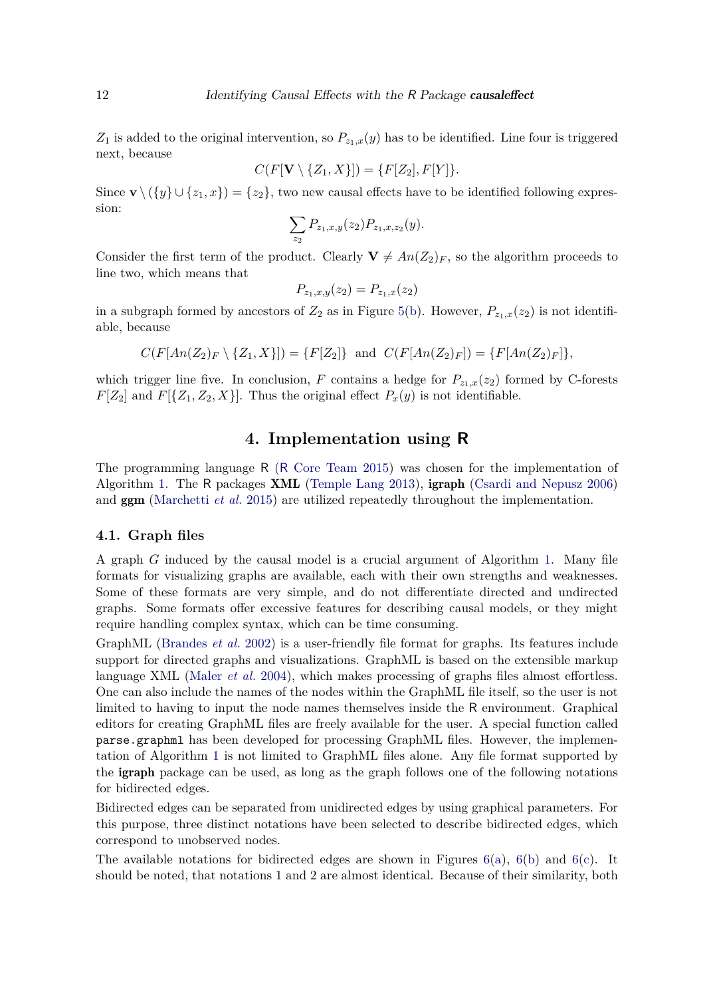$Z_1$  is added to the original intervention, so  $P_{z_1,x}(y)$  has to be identified. Line four is triggered next, because

$$
C(F[\mathbf{V}\setminus\{Z_1,X\}])=\{F[Z_2],F[Y]\}.
$$

Since **v**  $\setminus (\{y\} \cup \{z_1, x\}) = \{z_2\}$ , two new causal effects have to be identified following expression:

$$
\sum_{z_2} P_{z_1,x,y}(z_2) P_{z_1,x,z_2}(y).
$$

Consider the first term of the product. Clearly  $\mathbf{V} \neq An(Z_2)_F$ , so the algorithm proceeds to line two, which means that

$$
P_{z_1,x,y}(z_2) = P_{z_1,x}(z_2)
$$

in a subgraph formed by ancestors of  $Z_2$  as in Figure [5\(b\)](#page-10-0). However,  $P_{z_1,x}(z_2)$  is not identifiable, because

$$
C(F[An(Z_2)_F \setminus \{Z_1, X\}]) = \{F[Z_2]\} \text{ and } C(F[An(Z_2)_F]) = \{F[An(Z_2)_F]\},
$$

which trigger line five. In conclusion, *F* contains a hedge for  $P_{z_1,x}(z_2)$  formed by C-forests  $F[Z_2]$  and  $F[\{Z_1, Z_2, X\}]$ . Thus the original effect  $P_x(y)$  is not identifiable.

# **4. Implementation using R**

<span id="page-11-0"></span>The programming language R (R [Core Team 2015\)](#page-24-11) was chosen for the implementation of Algorithm [1.](#page-8-0) The R packages XML [\(Temple Lang 2013\)](#page-24-12), igraph [\(Csardi and Nepusz 2006\)](#page-22-8) and ggm [\(Marchetti](#page-23-13) *et al.* [2015\)](#page-23-13) are utilized repeatedly throughout the implementation.

#### <span id="page-11-1"></span>**4.1. Graph files**

A graph *G* induced by the causal model is a crucial argument of Algorithm [1.](#page-8-0) Many file formats for visualizing graphs are available, each with their own strengths and weaknesses. Some of these formats are very simple, and do not differentiate directed and undirected graphs. Some formats offer excessive features for describing causal models, or they might require handling complex syntax, which can be time consuming.

GraphML [\(Brandes](#page-22-9) *et al.* [2002\)](#page-22-9) is a user-friendly file format for graphs. Its features include support for directed graphs and visualizations. GraphML is based on the extensible markup language XML [\(Maler](#page-23-14) *et al.* [2004\)](#page-23-14), which makes processing of graphs files almost effortless. One can also include the names of the nodes within the GraphML file itself, so the user is not limited to having to input the node names themselves inside the R environment. Graphical editors for creating GraphML files are freely available for the user. A special function called parse.graphml has been developed for processing GraphML files. However, the implementation of Algorithm [1](#page-8-0) is not limited to GraphML files alone. Any file format supported by the igraph package can be used, as long as the graph follows one of the following notations for bidirected edges.

Bidirected edges can be separated from unidirected edges by using graphical parameters. For this purpose, three distinct notations have been selected to describe bidirected edges, which correspond to unobserved nodes.

The available notations for bidirected edges are shown in Figures  $6(a)$ ,  $6(b)$  and  $6(c)$ . It should be noted, that notations 1 and 2 are almost identical. Because of their similarity, both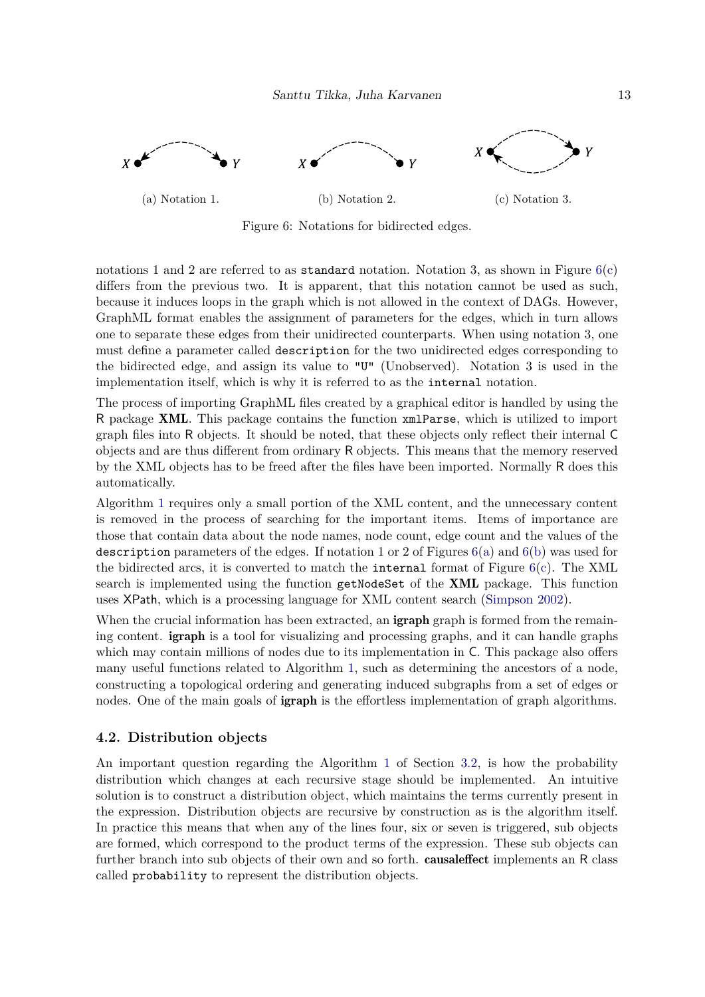<span id="page-12-0"></span>

Figure 6: Notations for bidirected edges.

notations 1 and 2 are referred to as standard notation. Notation 3, as shown in Figure  $6(c)$ differs from the previous two. It is apparent, that this notation cannot be used as such, because it induces loops in the graph which is not allowed in the context of DAGs. However, GraphML format enables the assignment of parameters for the edges, which in turn allows one to separate these edges from their unidirected counterparts. When using notation 3, one must define a parameter called description for the two unidirected edges corresponding to the bidirected edge, and assign its value to "U" (Unobserved). Notation 3 is used in the implementation itself, which is why it is referred to as the internal notation.

The process of importing GraphML files created by a graphical editor is handled by using the R package XML. This package contains the function xmlParse, which is utilized to import graph files into R objects. It should be noted, that these objects only reflect their internal C objects and are thus different from ordinary R objects. This means that the memory reserved by the XML objects has to be freed after the files have been imported. Normally R does this automatically.

Algorithm [1](#page-8-0) requires only a small portion of the XML content, and the unnecessary content is removed in the process of searching for the important items. Items of importance are those that contain data about the node names, node count, edge count and the values of the description parameters of the edges. If notation 1 or 2 of Figures  $6(a)$  and  $6(b)$  was used for the bidirected arcs, it is converted to match the internal format of Figure  $6(c)$ . The XML search is implemented using the function getNodeSet of the XML package. This function uses XPath, which is a processing language for XML content search [\(Simpson 2002\)](#page-24-13).

When the crucial information has been extracted, an **igraph** graph is formed from the remaining content. igraph is a tool for visualizing and processing graphs, and it can handle graphs which may contain millions of nodes due to its implementation in C. This package also offers many useful functions related to Algorithm [1,](#page-8-0) such as determining the ancestors of a node, constructing a topological ordering and generating induced subgraphs from a set of edges or nodes. One of the main goals of **igraph** is the effortless implementation of graph algorithms.

### **4.2. Distribution objects**

An important question regarding the Algorithm [1](#page-8-0) of Section [3.2,](#page-7-0) is how the probability distribution which changes at each recursive stage should be implemented. An intuitive solution is to construct a distribution object, which maintains the terms currently present in the expression. Distribution objects are recursive by construction as is the algorithm itself. In practice this means that when any of the lines four, six or seven is triggered, sub objects are formed, which correspond to the product terms of the expression. These sub objects can further branch into sub objects of their own and so forth. **causaleffect** implements an R class called probability to represent the distribution objects.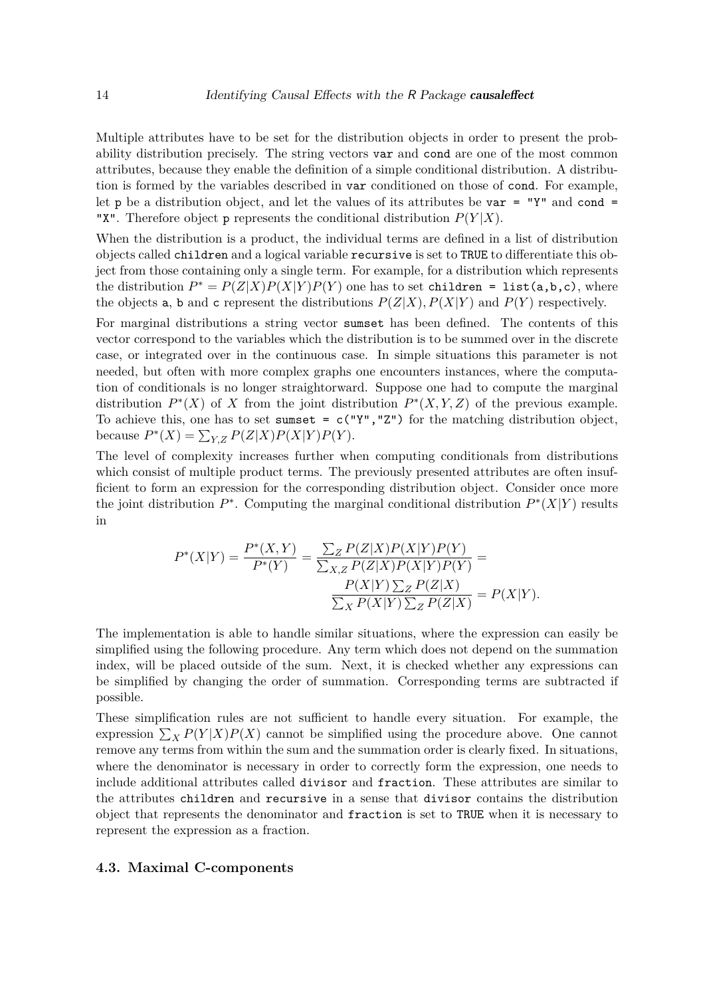Multiple attributes have to be set for the distribution objects in order to present the probability distribution precisely. The string vectors var and cond are one of the most common attributes, because they enable the definition of a simple conditional distribution. A distribution is formed by the variables described in var conditioned on those of cond. For example, let p be a distribution object, and let the values of its attributes be var = "Y" and cond = "X". Therefore object **p** represents the conditional distribution  $P(Y|X)$ .

When the distribution is a product, the individual terms are defined in a list of distribution objects called children and a logical variable recursive is set to TRUE to differentiate this object from those containing only a single term. For example, for a distribution which represents the distribution  $P^* = P(Z|X)P(X|Y)P(Y)$  one has to set children = list(a,b,c), where the objects **a**, **b** and **c** represent the distributions  $P(Z|X)$ ,  $P(X|Y)$  and  $P(Y)$  respectively.

For marginal distributions a string vector sumset has been defined. The contents of this vector correspond to the variables which the distribution is to be summed over in the discrete case, or integrated over in the continuous case. In simple situations this parameter is not needed, but often with more complex graphs one encounters instances, where the computation of conditionals is no longer straightorward. Suppose one had to compute the marginal distribution  $P^*(X)$  of X from the joint distribution  $P^*(X, Y, Z)$  of the previous example. To achieve this, one has to set sumset =  $c("Y", "Z")$  for the matching distribution object, because  $P^*(X) = \sum_{Y,Z} P(Z|X)P(X|Y)P(Y)$ .

The level of complexity increases further when computing conditionals from distributions which consist of multiple product terms. The previously presented attributes are often insufficient to form an expression for the corresponding distribution object. Consider once more the joint distribution  $P^*$ . Computing the marginal conditional distribution  $P^*(X|Y)$  results in

$$
P^*(X|Y) = \frac{P^*(X,Y)}{P^*(Y)} = \frac{\sum_{Z} P(Z|X)P(X|Y)P(Y)}{\sum_{X,Z} P(Z|X)P(X|Y)P(Y)} =
$$
  

$$
\frac{P(X|Y)\sum_{Z} P(Z|X)}{\sum_{X} P(X|Y)\sum_{Z} P(Z|X)} = P(X|Y).
$$

The implementation is able to handle similar situations, where the expression can easily be simplified using the following procedure. Any term which does not depend on the summation index, will be placed outside of the sum. Next, it is checked whether any expressions can be simplified by changing the order of summation. Corresponding terms are subtracted if possible.

These simplification rules are not sufficient to handle every situation. For example, the expression  $\sum_{X} P(Y|X)P(X)$  cannot be simplified using the procedure above. One cannot remove any terms from within the sum and the summation order is clearly fixed. In situations, where the denominator is necessary in order to correctly form the expression, one needs to include additional attributes called divisor and fraction. These attributes are similar to the attributes children and recursive in a sense that divisor contains the distribution object that represents the denominator and fraction is set to TRUE when it is necessary to represent the expression as a fraction.

### **4.3. Maximal C-components**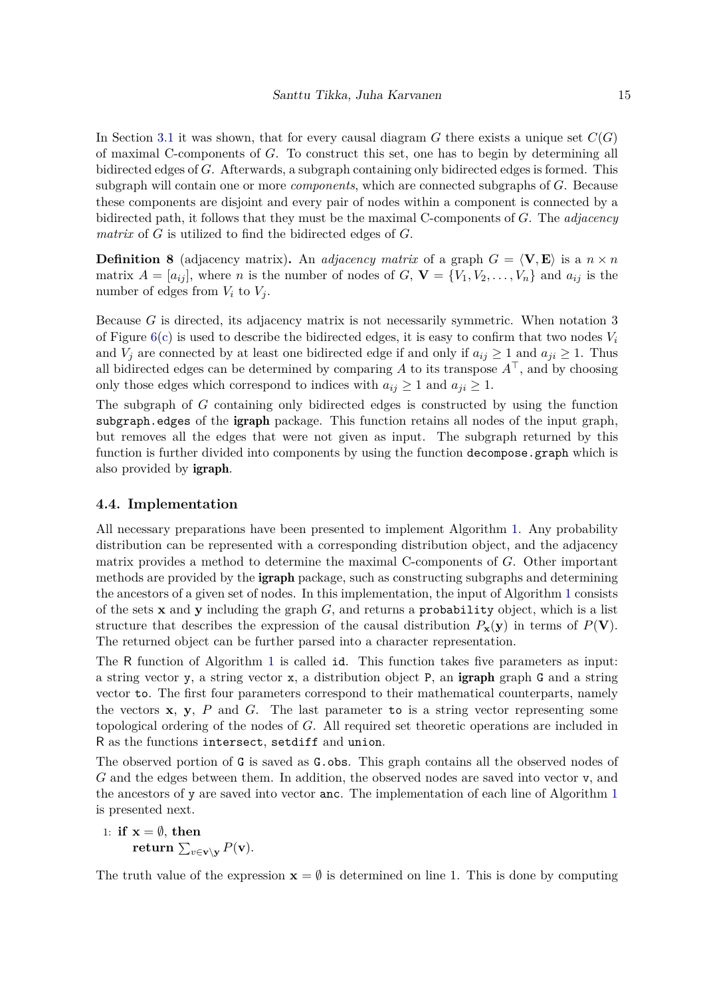In Section [3.1](#page-5-1) it was shown, that for every causal diagram *G* there exists a unique set  $C(G)$ of maximal C-components of *G*. To construct this set, one has to begin by determining all bidirected edges of *G*. Afterwards, a subgraph containing only bidirected edges is formed. This subgraph will contain one or more *components*, which are connected subgraphs of *G*. Because these components are disjoint and every pair of nodes within a component is connected by a bidirected path, it follows that they must be the maximal C-components of *G*. The *adjacency matrix* of *G* is utilized to find the bidirected edges of *G*.

**Definition 8** (adjacency matrix). An *adjacency matrix* of a graph  $G = \langle V, E \rangle$  is a  $n \times n$ matrix  $A = [a_{ij}]$ , where *n* is the number of nodes of  $G, V = \{V_1, V_2, \ldots, V_n\}$  and  $a_{ij}$  is the number of edges from  $V_i$  to  $V_j$ .

Because *G* is directed, its adjacency matrix is not necessarily symmetric. When notation 3 of Figure [6\(c\)](#page-12-0) is used to describe the bidirected edges, it is easy to confirm that two nodes *V<sup>i</sup>* and  $V_j$  are connected by at least one bidirected edge if and only if  $a_{ij} \geq 1$  and  $a_{ji} \geq 1$ . Thus all bidirected edges can be determined by comparing *A* to its transpose  $A^{\top}$ , and by choosing only those edges which correspond to indices with  $a_{ij} \geq 1$  and  $a_{ji} \geq 1$ .

The subgraph of *G* containing only bidirected edges is constructed by using the function subgraph.edges of the igraph package. This function retains all nodes of the input graph, but removes all the edges that were not given as input. The subgraph returned by this function is further divided into components by using the function decompose.graph which is also provided by igraph.

#### **4.4. Implementation**

All necessary preparations have been presented to implement Algorithm [1.](#page-8-0) Any probability distribution can be represented with a corresponding distribution object, and the adjacency matrix provides a method to determine the maximal C-components of *G*. Other important methods are provided by the **igraph** package, such as constructing subgraphs and determining the ancestors of a given set of nodes. In this implementation, the input of Algorithm [1](#page-8-0) consists of the sets **x** and **y** including the graph *G*, and returns a probability object, which is a list structure that describes the expression of the causal distribution  $P_{\mathbf{x}}(\mathbf{y})$  in terms of  $P(\mathbf{V})$ . The returned object can be further parsed into a character representation.

The R function of Algorithm [1](#page-8-0) is called id. This function takes five parameters as input: a string vector y, a string vector x, a distribution object P, an igraph graph G and a string vector to. The first four parameters correspond to their mathematical counterparts, namely the vectors **x**, **y**, *P* and *G*. The last parameter to is a string vector representing some topological ordering of the nodes of *G*. All required set theoretic operations are included in R as the functions intersect, setdiff and union.

The observed portion of G is saved as G.obs. This graph contains all the observed nodes of *G* and the edges between them. In addition, the observed nodes are saved into vector v, and the ancestors of y are saved into vector anc. The implementation of each line of Algorithm [1](#page-8-0) is presented next.

1: if 
$$
\mathbf{x} = \emptyset
$$
, then  
return  $\sum_{v \in \mathbf{v} \setminus \mathbf{y}} P(\mathbf{v})$ .

The truth value of the expression  $\mathbf{x} = \emptyset$  is determined on line 1. This is done by computing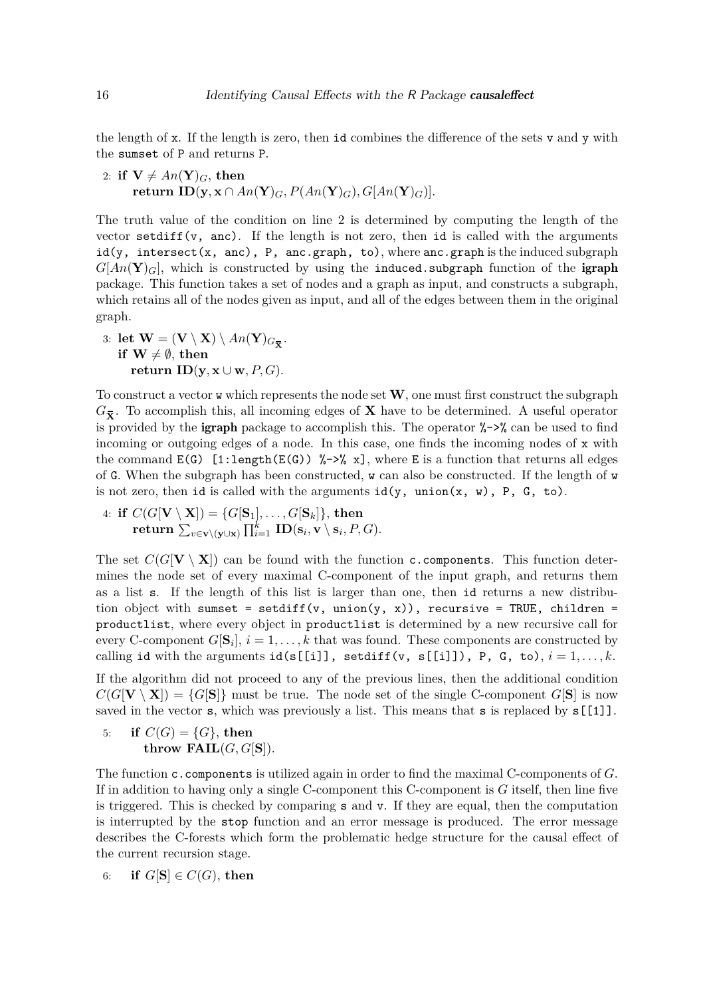the length of x. If the length is zero, then id combines the difference of the sets v and y with the sumset of P and returns P.

2: **if**  $V \neq An(Y)_{G}$ , then  $\textbf{return } \textbf{ID}(\textbf{y}, \textbf{x} \cap An(\textbf{Y})_G, P(An(\textbf{Y})_G), G[An(\textbf{Y})_G)].$ 

The truth value of the condition on line 2 is determined by computing the length of the vector setdiff(v, anc). If the length is not zero, then id is called with the arguments  $id(y, \text{intersect}(x, \text{anc}), P, \text{anc.graph}, \text{to}),$  where  $anc.graph$  is the induced subgraph  $G[An(\mathbf{Y})_G]$ , which is constructed by using the induced.subgraph function of the igraph package. This function takes a set of nodes and a graph as input, and constructs a subgraph, which retains all of the nodes given as input, and all of the edges between them in the original graph.

3: **let**  $\mathbf{W} = (\mathbf{V} \setminus \mathbf{X}) \setminus An(\mathbf{Y})_{G_{\overline{\mathbf{X}}}}$ . **if**  $W \neq \emptyset$ , then **return ID**( $\mathbf{v}, \mathbf{x} \cup \mathbf{w}, P, G$ ).

To construct a vector w which represents the node set **W**, one must first construct the subgraph  $G_{\overline{\mathbf{x}}}$ . To accomplish this, all incoming edges of **X** have to be determined. A useful operator is provided by the **igraph** package to accomplish this. The operator  $\frac{1}{6}$ - $\frac{1}{6}$  can be used to find incoming or outgoing edges of a node. In this case, one finds the incoming nodes of x with the command  $E(G)$  [1:length( $E(G)$ ) %->% x], where E is a function that returns all edges of G. When the subgraph has been constructed, w can also be constructed. If the length of w is not zero, then id is called with the arguments  $id(y, union(x, w), P, G, to)$ .

 $4:$  **if**  $C(G[\mathbf{V}\setminus \mathbf{X}])=\{G[\mathbf{S}_1],\ldots,G[\mathbf{S}_k]\},$  then  $\mathbf{return} \; \sum_{v \in \mathbf{v} \setminus (\mathbf{y} \cup \mathbf{x})} \prod_{i=1}^k \; \mathbf{ID}(\mathbf{s}_i, \mathbf{v} \setminus \mathbf{s}_i, P, G).$ 

The set  $C(G[V \setminus X])$  can be found with the function c.components. This function determines the node set of every maximal C-component of the input graph, and returns them as a list s. If the length of this list is larger than one, then id returns a new distribution object with sumset = setdiff(v, union(y, x)), recursive = TRUE, children = productlist, where every object in productlist is determined by a new recursive call for every C-component  $G[\mathbf{S}_i], i = 1, \ldots, k$  that was found. These components are constructed by calling id with the arguments  $id(s[[i]], setdiff(v, s[[i]), P, G, to), i = 1, ..., k$ .

If the algorithm did not proceed to any of the previous lines, then the additional condition  $C(G[V \setminus X]) = \{G[S]\}$  must be true. The node set of the single C-component  $G[S]$  is now saved in the vector s, which was previously a list. This means that s is replaced by  $s[[1]]$ .

5: **if**  $C(G) = \{G\}$ , then **throw FAIL** $(G, G[S])$ .

The function c.components is utilized again in order to find the maximal C-components of *G*. If in addition to having only a single C-component this C-component is *G* itself, then line five is triggered. This is checked by comparing s and v. If they are equal, then the computation is interrupted by the stop function and an error message is produced. The error message describes the C-forests which form the problematic hedge structure for the causal effect of the current recursion stage.

6: **if**  $G[S] \in C(G)$ , then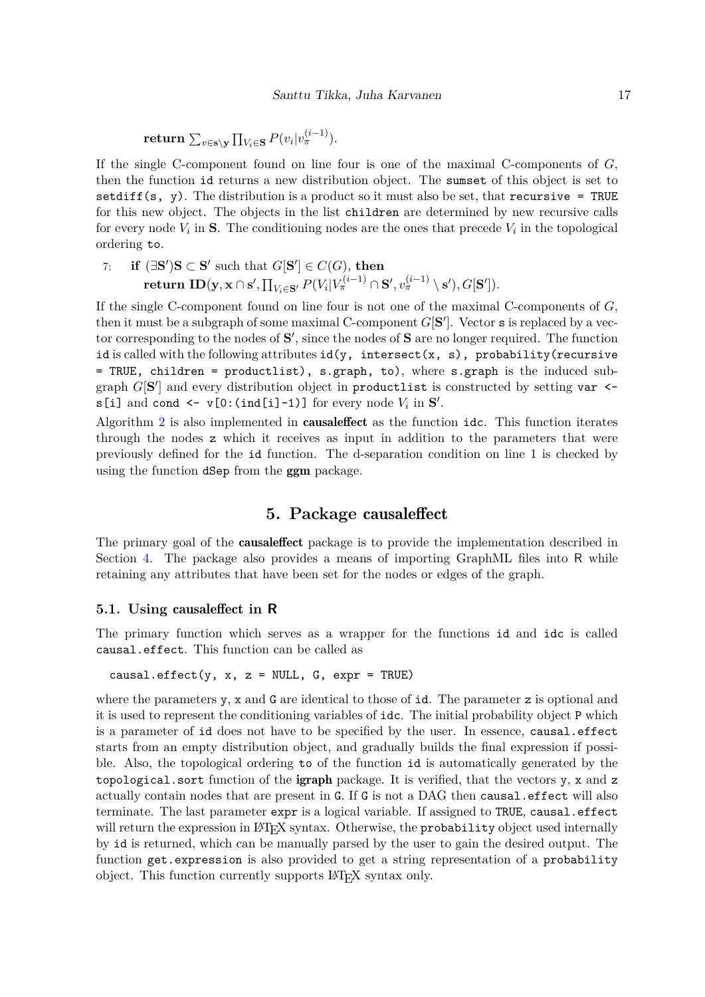$\mathbf{return} \, \sum_{v \in \mathbf{s} \setminus \mathbf{y}} \prod_{V_i \in \mathbf{S}} P(v_i|v_\pi^{(i-1)}).$ 

If the single C-component found on line four is one of the maximal C-components of *G*, then the function id returns a new distribution object. The sumset of this object is set to setdiff(s, y). The distribution is a product so it must also be set, that recursive = TRUE for this new object. The objects in the list children are determined by new recursive calls for every node  $V_i$  in **S**. The conditioning nodes are the ones that precede  $V_i$  in the topological ordering to.

7: **if**  $(\exists \mathbf{S}')\mathbf{S} \subset \mathbf{S}'$  such that  $G[\mathbf{S}'] \in C(G)$ , then  $\textbf{return } \textbf{ID}(\textbf{y},\textbf{x} \cap \textbf{s}',\textstyle\prod_{V_i \in \textbf{S}'} P(V_i | V_\pi^{(i-1)} \cap \textbf{S}', v_\pi^{(i-1)} \setminus \textbf{s}'), G[\textbf{S}']).$ 

If the single C-component found on line four is not one of the maximal C-components of *G*, then it must be a subgraph of some maximal C-component  $G[S']$ . Vector s is replaced by a vector corresponding to the nodes of  $S'$ , since the nodes of S are no longer required. The function id is called with the following attributes  $id(y, interset(x, s), probability(recursive$ = TRUE, children = productlist), s.graph, to), where s.graph is the induced subgraph  $G[S']$  and every distribution object in productlist is constructed by setting var < $s[i]$  and cond  $\leq v[0:(ind[i]-1)]$  for every node  $V_i$  in  $S'$ .

Algorithm [2](#page-9-1) is also implemented in causaleffect as the function idc. This function iterates through the nodes z which it receives as input in addition to the parameters that were previously defined for the id function. The d-separation condition on line 1 is checked by using the function dSep from the **ggm** package.

# **5. Package** causaleffect

<span id="page-16-0"></span>The primary goal of the causaleffect package is to provide the implementation described in Section [4.](#page-11-0) The package also provides a means of importing GraphML files into R while retaining any attributes that have been set for the nodes or edges of the graph.

### **5.1. Using** causaleffect **in R**

The primary function which serves as a wrapper for the functions id and idc is called causal.effect. This function can be called as

causal.effect(y, x, z = NULL, G, expr = TRUE)

where the parameters  $y$ ,  $x$  and  $G$  are identical to those of id. The parameter  $z$  is optional and it is used to represent the conditioning variables of idc. The initial probability object P which is a parameter of id does not have to be specified by the user. In essence, causal.effect starts from an empty distribution object, and gradually builds the final expression if possible. Also, the topological ordering to of the function id is automatically generated by the topological.sort function of the **igraph** package. It is verified, that the vectors y, x and z actually contain nodes that are present in G. If G is not a DAG then causal.effect will also terminate. The last parameter expr is a logical variable. If assigned to TRUE, causal.effect will return the expression in LATEX syntax. Otherwise, the probability object used internally by id is returned, which can be manually parsed by the user to gain the desired output. The function get.expression is also provided to get a string representation of a probability object. This function currently supports LATEX syntax only.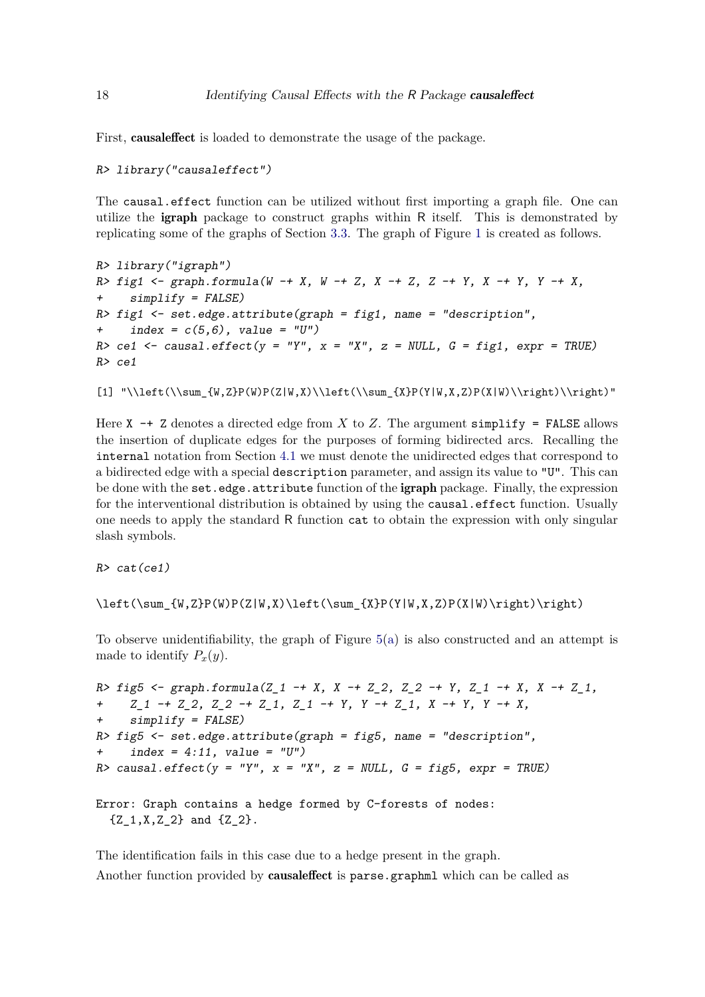First, causaleffect is loaded to demonstrate the usage of the package.

#### *R> library("causaleffect")*

The causal.effect function can be utilized without first importing a graph file. One can utilize the igraph package to construct graphs within R itself. This is demonstrated by replicating some of the graphs of Section [3.3.](#page-9-0) The graph of Figure [1](#page-3-0) is created as follows.

```
R> library("igraph")
R> fig1 <- graph.formula(W -+ X, W -+ Z, X -+ Z, Z -+ Y, X -+ Y, Y -+ X,
     + simplify = FALSE)
R> fig1 <- set.edge.attribute(graph = fig1, name = "description",
     + index = c(5,6), value = "U")
R cel \le causal.effect(y = "Y", x = "X", z = NULL, G = fig1, expr = TRUE)
R> ce1
```

```
[1] "\\left(\\sum_{W,Z}P(W)P(Z|W,X)\\left(\\sum_{X}P(Y|W,X,Z)P(X|W)\\right)\\right)"
```
Here  $X \rightarrow Z$  denotes a directed edge from X to Z. The argument simplify = FALSE allows the insertion of duplicate edges for the purposes of forming bidirected arcs. Recalling the internal notation from Section [4.1](#page-11-1) we must denote the unidirected edges that correspond to a bidirected edge with a special description parameter, and assign its value to "U". This can be done with the set.edge.attribute function of the igraph package. Finally, the expression for the interventional distribution is obtained by using the causal.effect function. Usually one needs to apply the standard R function cat to obtain the expression with only singular slash symbols.

*R> cat(ce1)*

```
\left(\sum_{W,Z}P(W)P(Z|W,X)\left(\sum_{X}P(Y|W,X,Z)P(X|W)\right)\right)
```
To observe unidentifiability, the graph of Figure [5\(a\)](#page-10-0) is also constructed and an attempt is made to identify  $P_x(y)$ .

```
R> fig5 <- graph.formula(Z_1 -+ X, X -+ Z_2, Z_2 -+ Y, Z_1 -+ X, X -+ Z_1,
     + Z_1 -+ Z_2, Z_2 -+ Z_1, Z_1 -+ Y, Y -+ Z_1, X -+ Y, Y -+ X,
+ simplify = FALSE)
R> fig5 <- set.edge.attribute(graph = fig5, name = "description",
+ index = 4:11, value = "U")
R> causal.effect(y = "Y", x = "X", z = NULL, G = fig5, expr = TRUE)
```
Error: Graph contains a hedge formed by C-forests of nodes:  ${Z_1, X, Z_2}$  and  ${Z_2}.$ 

The identification fails in this case due to a hedge present in the graph. Another function provided by causaleffect is parse.graphml which can be called as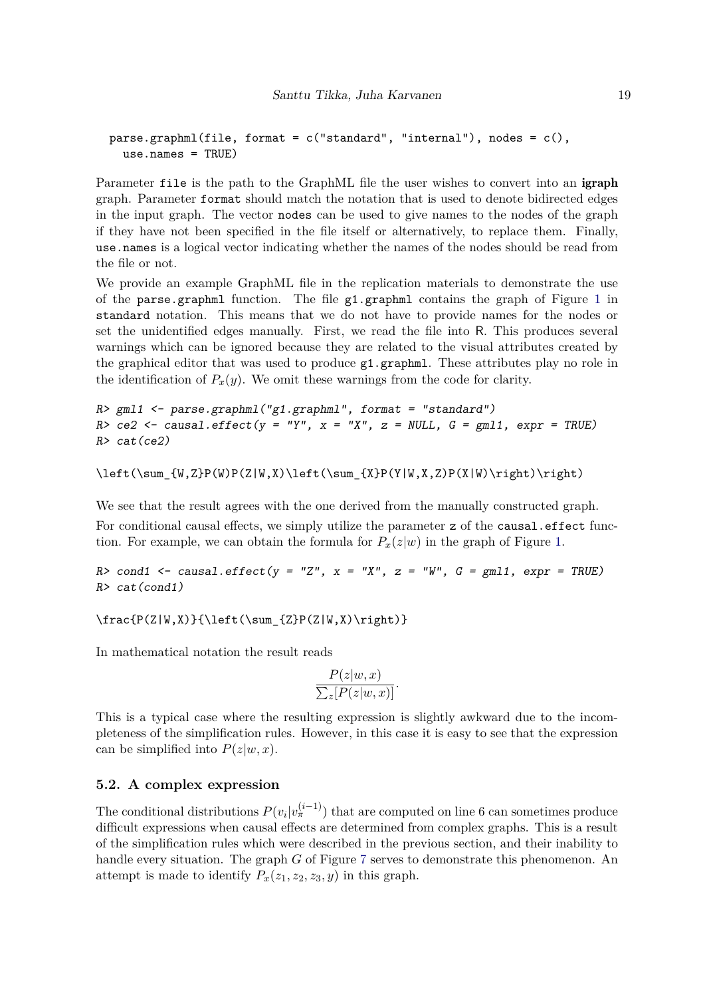```
parse.graphml(file, format = c("standard", "internal"), nodes = c(),use.names = TRUE)
```
Parameter file is the path to the GraphML file the user wishes to convert into an igraph graph. Parameter format should match the notation that is used to denote bidirected edges in the input graph. The vector nodes can be used to give names to the nodes of the graph if they have not been specified in the file itself or alternatively, to replace them. Finally, use.names is a logical vector indicating whether the names of the nodes should be read from the file or not.

We provide an example GraphML file in the replication materials to demonstrate the use of the parse.graphml function. The file g1.graphml contains the graph of Figure [1](#page-3-0) in standard notation. This means that we do not have to provide names for the nodes or set the unidentified edges manually. First, we read the file into R. This produces several warnings which can be ignored because they are related to the visual attributes created by the graphical editor that was used to produce g1.graphml. These attributes play no role in the identification of  $P_x(y)$ . We omit these warnings from the code for clarity.

```
R> gml1 <- parse.graphml("g1.graphml", format = "standard")
R> ce2 <- causal.effect(y = "Y", x = "X", z = NULL, G = gml1, expr = TRUE)
R> cat(ce2)
```

```
\left(\sum_{W,Z}P(W)P(Z|W,X)\left(\sum_{XY}P(Y|W,X,Z)P(X|W)\right)\right)
```
We see that the result agrees with the one derived from the manually constructed graph. For conditional causal effects, we simply utilize the parameter z of the causal.effect function. For example, we can obtain the formula for  $P_x(z|w)$  in the graph of Figure [1.](#page-3-0)

*R> cond1 <- causal.effect(y = "Z", x = "X", z = "W", G = gml1, expr = TRUE) R> cat(cond1)*

 $\frac{P(Z|W,X)}{\left(\sum_{Z}P(Z|W,X)\right)}$ 

In mathematical notation the result reads

$$
\frac{P(z|w, x)}{\sum_{z} [P(z|w, x)]}.
$$

This is a typical case where the resulting expression is slightly awkward due to the incompleteness of the simplification rules. However, in this case it is easy to see that the expression can be simplified into  $P(z|w, x)$ .

### **5.2. A complex expression**

The conditional distributions  $P(v_i|v_{\pi}^{(i-1)})$  that are computed on line 6 can sometimes produce difficult expressions when causal effects are determined from complex graphs. This is a result of the simplification rules which were described in the previous section, and their inability to handle every situation. The graph *G* of Figure [7](#page-19-0) serves to demonstrate this phenomenon. An attempt is made to identify  $P_x(z_1, z_2, z_3, y)$  in this graph.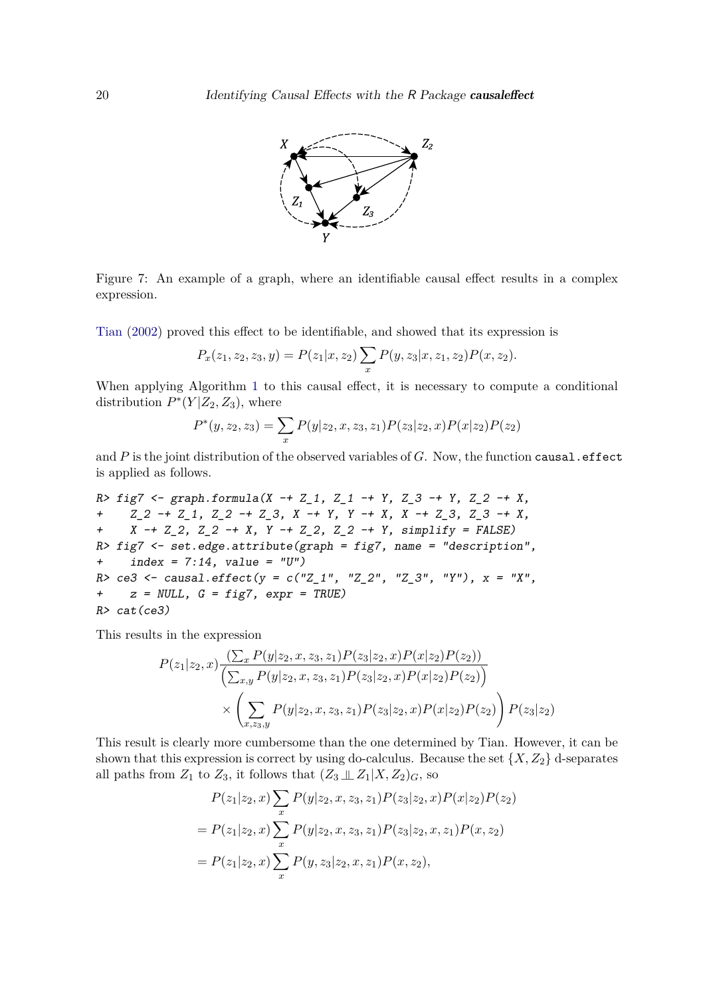

<span id="page-19-0"></span>Figure 7: An example of a graph, where an identifiable causal effect results in a complex expression.

[Tian](#page-24-8) [\(2002\)](#page-24-8) proved this effect to be identifiable, and showed that its expression is

$$
P_x(z_1, z_2, z_3, y) = P(z_1|x, z_2) \sum_x P(y, z_3|x, z_1, z_2) P(x, z_2).
$$

When applying Algorithm [1](#page-8-0) to this causal effect, it is necessary to compute a conditional distribution  $P^*(Y|Z_2, Z_3)$ , where

$$
P^*(y, z_2, z_3) = \sum_x P(y|z_2, x, z_3, z_1) P(z_3|z_2, x) P(x|z_2) P(z_2)
$$

and *P* is the joint distribution of the observed variables of *G*. Now, the function causal.effect is applied as follows.

*R> fig7 <- graph.formula(X -+ Z\_1, Z\_1 -+ Y, Z\_3 -+ Y, Z\_2 -+ X, + Z\_2 -+ Z\_1, Z\_2 -+ Z\_3, X -+ Y, Y -+ X, X -+ Z\_3, Z\_3 -+ X, + X -+ Z\_2, Z\_2 -+ X, Y -+ Z\_2, Z\_2 -+ Y, simplify = FALSE) R> fig7 <- set.edge.attribute(graph = fig7, name = "description", + index = 7:14, value = "U") R> ce3 <- causal.effect(y = c("Z\_1", "Z\_2", "Z\_3", "Y"), x = "X", + z = NULL, G = fig7, expr = TRUE) R> cat(ce3)*

This results in the expression

$$
P(z_1|z_2, x) \frac{\left(\sum_x P(y|z_2, x, z_3, z_1) P(z_3|z_2, x) P(x|z_2) P(z_2)\right)}{\left(\sum_{x,y} P(y|z_2, x, z_3, z_1) P(z_3|z_2, x) P(x|z_2) P(z_2)\right)}
$$

$$
\times \left(\sum_{x,z_3,y} P(y|z_2, x, z_3, z_1) P(z_3|z_2, x) P(x|z_2) P(z_2)\right) P(z_3|z_2)
$$

This result is clearly more cumbersome than the one determined by Tian. However, it can be shown that this expression is correct by using do-calculus. Because the set  $\{X, Z_2\}$  d-separates all paths from  $Z_1$  to  $Z_3$ , it follows that  $(Z_3 \perp Z_1 | X, Z_2)$ <sub>*G*</sub>, so

$$
P(z_1|z_2, x) \sum_{x} P(y|z_2, x, z_3, z_1) P(z_3|z_2, x) P(x|z_2) P(z_2)
$$
  
=  $P(z_1|z_2, x) \sum_{x} P(y|z_2, x, z_3, z_1) P(z_3|z_2, x, z_1) P(x, z_2)$   
=  $P(z_1|z_2, x) \sum_{x} P(y, z_3|z_2, x, z_1) P(x, z_2),$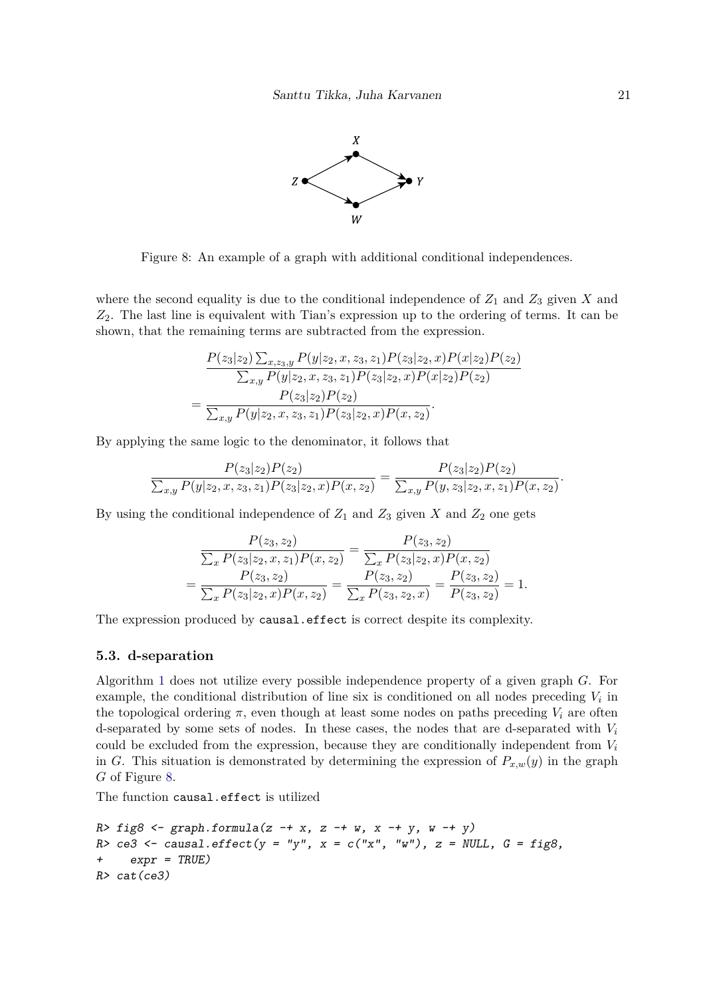

<span id="page-20-0"></span>Figure 8: An example of a graph with additional conditional independences.

where the second equality is due to the conditional independence of  $Z_1$  and  $Z_3$  given  $X$  and *Z*2. The last line is equivalent with Tian's expression up to the ordering of terms. It can be shown, that the remaining terms are subtracted from the expression.

$$
=\frac{P(z_3|z_2)\sum_{x,z_3,y}P(y|z_2,x,z_3,z_1)P(z_3|z_2,x)P(x|z_2)P(z_2)}{\sum_{x,y}P(y|z_2,x,z_3,z_1)P(z_3|z_2,x)P(x|z_2)P(z_2)}
$$

$$
=\frac{P(z_3|z_2)P(z_2)}{\sum_{x,y}P(y|z_2,x,z_3,z_1)P(z_3|z_2,x)P(x,z_2)}.
$$

By applying the same logic to the denominator, it follows that

=

$$
\frac{P(z_3|z_2)P(z_2)}{\sum_{x,y} P(y|z_2, x, z_3, z_1)P(z_3|z_2, x)P(x, z_2)} = \frac{P(z_3|z_2)P(z_2)}{\sum_{x,y} P(y, z_3|z_2, x, z_1)P(x, z_2)}.
$$

By using the conditional independence of  $Z_1$  and  $Z_3$  given  $X$  and  $Z_2$  one gets

$$
\frac{P(z_3, z_2)}{\sum_x P(z_3|z_2, x, z_1)P(x, z_2)} = \frac{P(z_3, z_2)}{\sum_x P(z_3|z_2, x)P(x, z_2)}
$$
\n
$$
= \frac{P(z_3, z_2)}{\sum_x P(z_3|z_2, x)P(x, z_2)} = \frac{P(z_3, z_2)}{\sum_x P(z_3, z_2, x)} = \frac{P(z_3, z_2)}{P(z_3, z_2)} = 1.
$$

The expression produced by causal.effect is correct despite its complexity.

#### **5.3. d-separation**

Algorithm [1](#page-8-0) does not utilize every possible independence property of a given graph *G*. For example, the conditional distribution of line six is conditioned on all nodes preceding  $V_i$  in the topological ordering  $\pi$ , even though at least some nodes on paths preceding  $V_i$  are often d-separated by some sets of nodes. In these cases, the nodes that are d-separated with *V<sup>i</sup>* could be excluded from the expression, because they are conditionally independent from *V<sup>i</sup>* in *G*. This situation is demonstrated by determining the expression of  $P_{x,w}(y)$  in the graph *G* of Figure [8.](#page-20-0)

The function causal.effect is utilized

```
R> fig8 <- graph.formula(z -+ x, z -+ w, x -+ y, w -+ y)
R> ce3 <- causal.effect(y = "y", x = c("x", "w"), z = NULL, G = fig8,
+ expr = TRUE)
R> cat(ce3)
```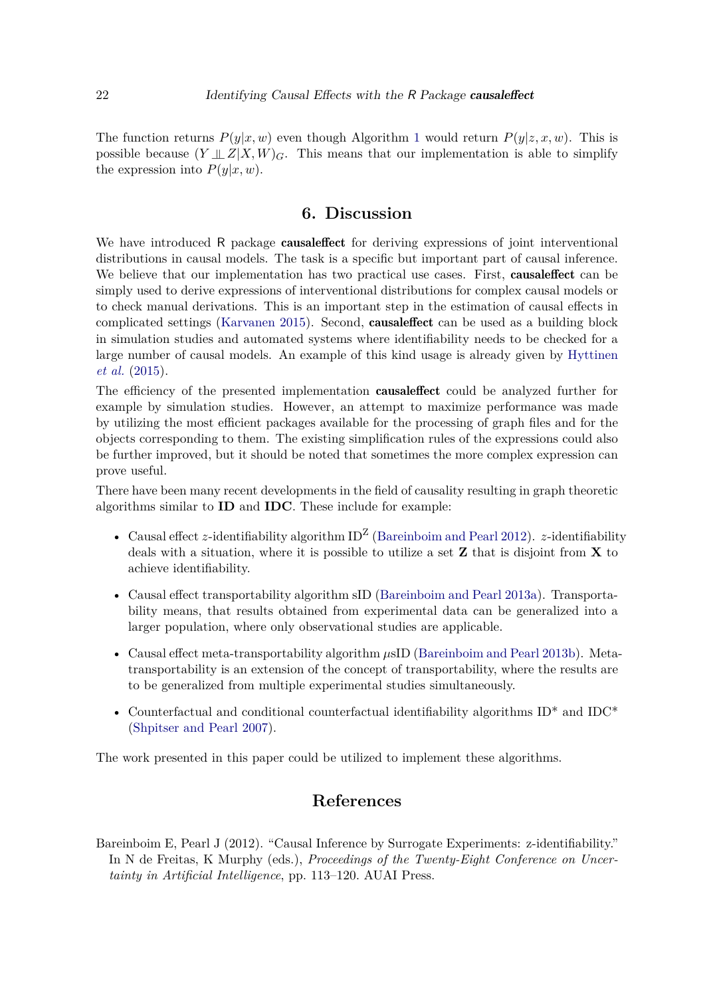The function returns  $P(y|x, w)$  even though Algorithm [1](#page-8-0) would return  $P(y|z, x, w)$ . This is possible because  $(Y \perp\!\!\!\perp Z | X, W)$ <sub>G</sub>. This means that our implementation is able to simplify the expression into  $P(y|x, w)$ .

# **6. Discussion**

<span id="page-21-0"></span>We have introduced R package **causaleffect** for deriving expressions of joint interventional distributions in causal models. The task is a specific but important part of causal inference. We believe that our implementation has two practical use cases. First, **causaleffect** can be simply used to derive expressions of interventional distributions for complex causal models or to check manual derivations. This is an important step in the estimation of causal effects in complicated settings [\(Karvanen 2015\)](#page-23-15). Second, causaleffect can be used as a building block in simulation studies and automated systems where identifiability needs to be checked for a large number of causal models. An example of this kind usage is already given by [Hyttinen](#page-22-10) *[et al.](#page-22-10)* [\(2015\)](#page-22-10).

The efficiency of the presented implementation causaleffect could be analyzed further for example by simulation studies. However, an attempt to maximize performance was made by utilizing the most efficient packages available for the processing of graph files and for the objects corresponding to them. The existing simplification rules of the expressions could also be further improved, but it should be noted that sometimes the more complex expression can prove useful.

There have been many recent developments in the field of causality resulting in graph theoretic algorithms similar to **ID** and **IDC**. These include for example:

- Causal effect *z*-identifiability algorithm  $ID^Z$  [\(Bareinboim and Pearl 2012\)](#page-21-1). *z*-identifiability deals with a situation, where it is possible to utilize a set **Z** that is disjoint from **X** to achieve identifiability.
- Causal effect transportability algorithm sID [\(Bareinboim and Pearl 2013a\)](#page-22-11). Transportability means, that results obtained from experimental data can be generalized into a larger population, where only observational studies are applicable.
- Causal effect meta-transportability algorithm  $\mu$ sID [\(Bareinboim and Pearl 2013b\)](#page-22-12). Metatransportability is an extension of the concept of transportability, where the results are to be generalized from multiple experimental studies simultaneously.
- Counterfactual and conditional counterfactual identifiability algorithms ID\* and IDC\* [\(Shpitser and Pearl 2007\)](#page-24-14).

The work presented in this paper could be utilized to implement these algorithms.

# **References**

<span id="page-21-1"></span>Bareinboim E, Pearl J (2012). "Causal Inference by Surrogate Experiments: z-identifiability." In N de Freitas, K Murphy (eds.), *Proceedings of the Twenty-Eight Conference on Uncertainty in Artificial Intelligence*, pp. 113–120. AUAI Press.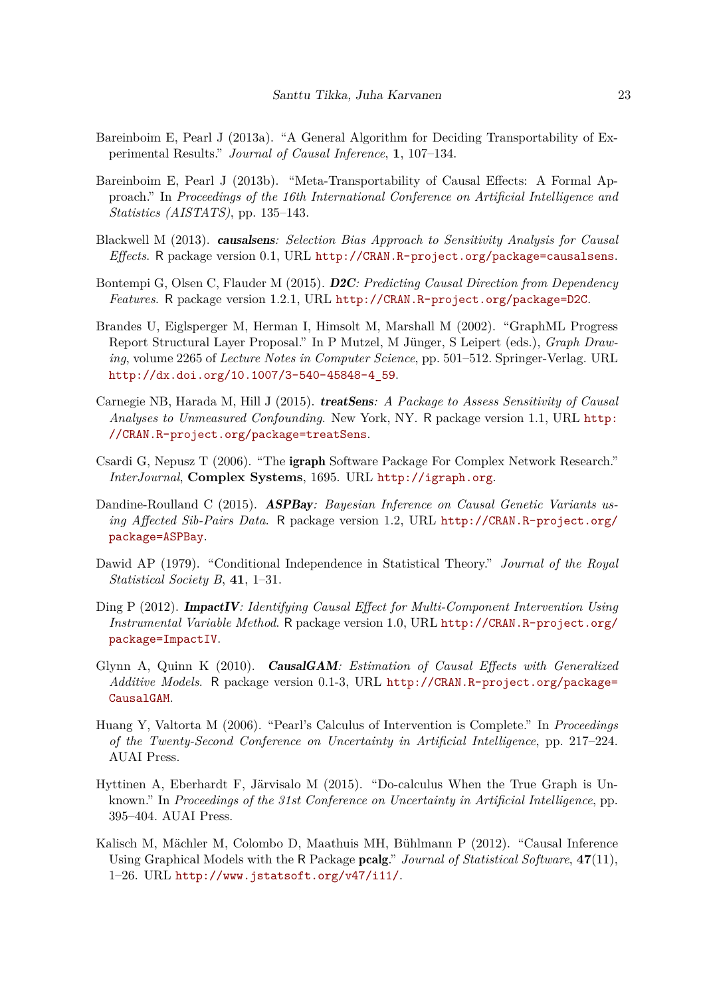- <span id="page-22-11"></span>Bareinboim E, Pearl J (2013a). "A General Algorithm for Deciding Transportability of Experimental Results." *Journal of Causal Inference*, **1**, 107–134.
- <span id="page-22-12"></span>Bareinboim E, Pearl J (2013b). "Meta-Transportability of Causal Effects: A Formal Approach." In *Proceedings of the 16th International Conference on Artificial Intelligence and Statistics (AISTATS)*, pp. 135–143.
- <span id="page-22-3"></span>Blackwell M (2013). causalsens*: Selection Bias Approach to Sensitivity Analysis for Causal Effects*. R package version 0.1, URL <http://CRAN.R-project.org/package=causalsens>.
- <span id="page-22-6"></span>Bontempi G, Olsen C, Flauder M (2015). D2C*: Predicting Causal Direction from Dependency Features*. R package version 1.2.1, URL <http://CRAN.R-project.org/package=D2C>.
- <span id="page-22-9"></span>Brandes U, Eiglsperger M, Herman I, Himsolt M, Marshall M (2002). "GraphML Progress Report Structural Layer Proposal." In P Mutzel, M Jünger, S Leipert (eds.), *Graph Drawing*, volume 2265 of *Lecture Notes in Computer Science*, pp. 501–512. Springer-Verlag. URL [http://dx.doi.org/10.1007/3-540-45848-4\\_59](http://dx.doi.org/10.1007/3-540-45848-4_59).
- <span id="page-22-5"></span>Carnegie NB, Harada M, Hill J (2015). treatSens*: A Package to Assess Sensitivity of Causal Analyses to Unmeasured Confounding*. New York, NY. R package version 1.1, URL [http:](http://CRAN.R-project.org/package=treatSens) [//CRAN.R-project.org/package=treatSens](http://CRAN.R-project.org/package=treatSens).
- <span id="page-22-8"></span>Csardi G, Nepusz T (2006). "The igraph Software Package For Complex Network Research." *InterJournal*, **Complex Systems**, 1695. URL <http://igraph.org>.
- <span id="page-22-1"></span>Dandine-Roulland C (2015). ASPBay*: Bayesian Inference on Causal Genetic Variants using Affected Sib-Pairs Data*. R package version 1.2, URL [http://CRAN.R-project.org/](http://CRAN.R-project.org/package=ASPBay) [package=ASPBay](http://CRAN.R-project.org/package=ASPBay).
- <span id="page-22-13"></span>Dawid AP (1979). "Conditional Independence in Statistical Theory." *Journal of the Royal Statistical Society B*, **41**, 1–31.
- <span id="page-22-4"></span>Ding P (2012). ImpactIV*: Identifying Causal Effect for Multi-Component Intervention Using Instrumental Variable Method*. R package version 1.0, URL [http://CRAN.R-project.org/](http://CRAN.R-project.org/package=ImpactIV) [package=ImpactIV](http://CRAN.R-project.org/package=ImpactIV).
- <span id="page-22-2"></span>Glynn A, Quinn K (2010). CausalGAM*: Estimation of Causal Effects with Generalized Additive Models*. R package version 0.1-3, URL [http://CRAN.R-project.org/package=](http://CRAN.R-project.org/package=CausalGAM) [CausalGAM](http://CRAN.R-project.org/package=CausalGAM).
- <span id="page-22-7"></span>Huang Y, Valtorta M (2006). "Pearl's Calculus of Intervention is Complete." In *Proceedings of the Twenty-Second Conference on Uncertainty in Artificial Intelligence*, pp. 217–224. AUAI Press.
- <span id="page-22-10"></span>Hyttinen A, Eberhardt F, Järvisalo M (2015). "Do-calculus When the True Graph is Unknown." In *Proceedings of the 31st Conference on Uncertainty in Artificial Intelligence*, pp. 395–404. AUAI Press.
- <span id="page-22-0"></span>Kalisch M, Mächler M, Colombo D, Maathuis MH, Bühlmann P (2012). "Causal Inference Using Graphical Models with the R Package pcalg." *Journal of Statistical Software*, **47**(11), 1–26. URL <http://www.jstatsoft.org/v47/i11/>.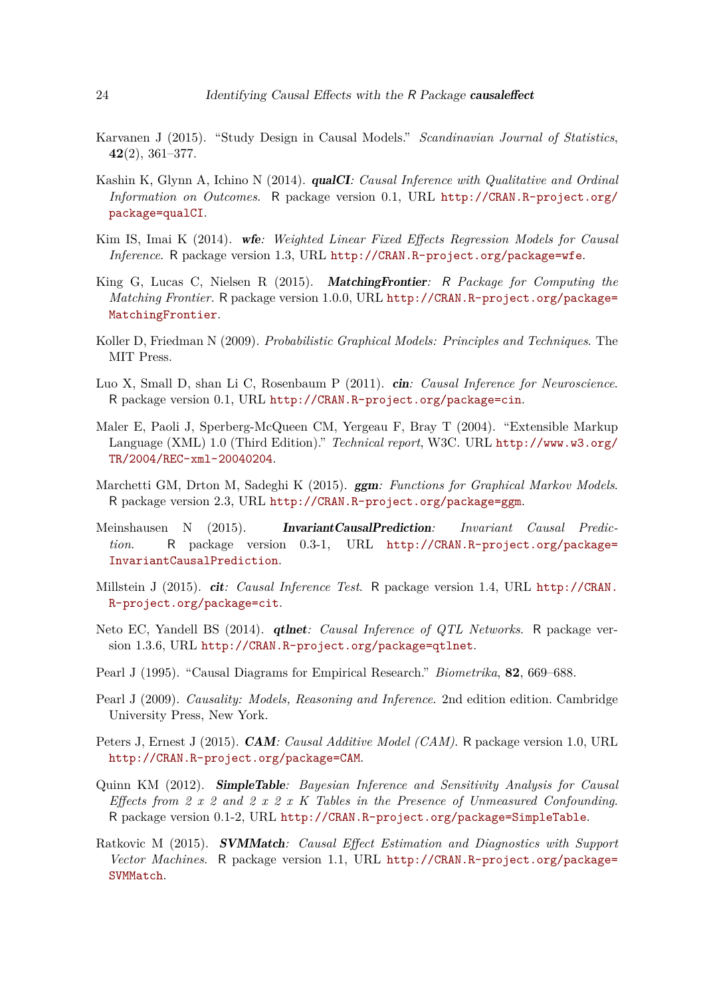- <span id="page-23-15"></span>Karvanen J (2015). "Study Design in Causal Models." *Scandinavian Journal of Statistics*, **42**(2), 361–377.
- <span id="page-23-10"></span>Kashin K, Glynn A, Ichino N (2014). qualCI*: Causal Inference with Qualitative and Ordinal Information on Outcomes*. R package version 0.1, URL [http://CRAN.R-project.org/](http://CRAN.R-project.org/package=qualCI) [package=qualCI](http://CRAN.R-project.org/package=qualCI).
- <span id="page-23-7"></span>Kim IS, Imai K (2014). wfe*: Weighted Linear Fixed Effects Regression Models for Causal Inference*. R package version 1.3, URL <http://CRAN.R-project.org/package=wfe>.
- <span id="page-23-9"></span>King G, Lucas C, Nielsen R (2015). MatchingFrontier*:* R *Package for Computing the Matching Frontier.* R package version 1.0.0, URL [http://CRAN.R-project.org/package=](http://CRAN.R-project.org/package=MatchingFrontier) [MatchingFrontier](http://CRAN.R-project.org/package=MatchingFrontier).
- <span id="page-23-2"></span>Koller D, Friedman N (2009). *Probabilistic Graphical Models: Principles and Techniques*. The MIT Press.
- <span id="page-23-3"></span>Luo X, Small D, shan Li C, Rosenbaum P (2011). cin*: Causal Inference for Neuroscience*. R package version 0.1, URL <http://CRAN.R-project.org/package=cin>.
- <span id="page-23-14"></span>Maler E, Paoli J, Sperberg-McQueen CM, Yergeau F, Bray T (2004). "Extensible Markup Language (XML) 1.0 (Third Edition)." *Technical report*, W3C. URL [http://www.w3.org/](http://www.w3.org/TR/2004/REC-xml-20040204) [TR/2004/REC-xml-20040204](http://www.w3.org/TR/2004/REC-xml-20040204).
- <span id="page-23-13"></span>Marchetti GM, Drton M, Sadeghi K (2015). ggm*: Functions for Graphical Markov Models*. R package version 2.3, URL <http://CRAN.R-project.org/package=ggm>.
- <span id="page-23-5"></span>Meinshausen N (2015). InvariantCausalPrediction*: Invariant Causal Prediction*. R package version 0.3-1, URL [http://CRAN.R-project.org/package=](http://CRAN.R-project.org/package=InvariantCausalPrediction) [InvariantCausalPrediction](http://CRAN.R-project.org/package=InvariantCausalPrediction).
- <span id="page-23-8"></span>Millstein J (2015). cit*: Causal Inference Test*. R package version 1.4, URL [http://CRAN.](http://CRAN.R-project.org/package=cit) [R-project.org/package=cit](http://CRAN.R-project.org/package=cit).
- <span id="page-23-4"></span>Neto EC, Yandell BS (2014). qtlnet*: Causal Inference of QTL Networks*. R package version 1.3.6, URL <http://CRAN.R-project.org/package=qtlnet>.
- <span id="page-23-0"></span>Pearl J (1995). "Causal Diagrams for Empirical Research." *Biometrika*, **82**, 669–688.
- <span id="page-23-1"></span>Pearl J (2009). *Causality: Models, Reasoning and Inference*. 2nd edition edition. Cambridge University Press, New York.
- <span id="page-23-12"></span>Peters J, Ernest J (2015). CAM*: Causal Additive Model (CAM)*. R package version 1.0, URL <http://CRAN.R-project.org/package=CAM>.
- <span id="page-23-11"></span>Quinn KM (2012). SimpleTable*: Bayesian Inference and Sensitivity Analysis for Causal Effects from 2 x 2 and 2 x 2 x K Tables in the Presence of Unmeasured Confounding*. R package version 0.1-2, URL <http://CRAN.R-project.org/package=SimpleTable>.
- <span id="page-23-6"></span>Ratkovic M (2015). SVMMatch*: Causal Effect Estimation and Diagnostics with Support Vector Machines*. R package version 1.1, URL [http://CRAN.R-project.org/package=](http://CRAN.R-project.org/package=SVMMatch) [SVMMatch](http://CRAN.R-project.org/package=SVMMatch).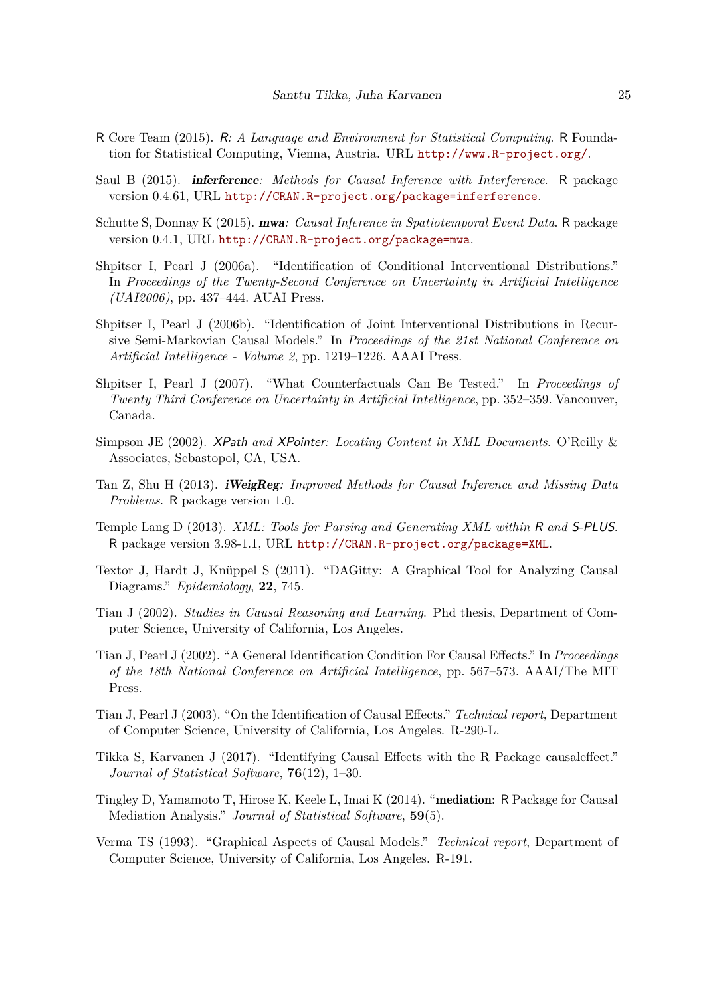- <span id="page-24-11"></span>R Core Team (2015). R*: A Language and Environment for Statistical Computing*. R Foundation for Statistical Computing, Vienna, Austria. URL <http://www.R-project.org/>.
- <span id="page-24-6"></span>Saul B (2015). inferference*: Methods for Causal Inference with Interference*. R package version 0.4.61, URL <http://CRAN.R-project.org/package=inferference>.
- <span id="page-24-4"></span>Schutte S, Donnay K (2015). mwa*: Causal Inference in Spatiotemporal Event Data*. R package version 0.4.1, URL <http://CRAN.R-project.org/package=mwa>.
- <span id="page-24-10"></span>Shpitser I, Pearl J (2006a). "Identification of Conditional Interventional Distributions." In *Proceedings of the Twenty-Second Conference on Uncertainty in Artificial Intelligence (UAI2006)*, pp. 437–444. AUAI Press.
- <span id="page-24-0"></span>Shpitser I, Pearl J (2006b). "Identification of Joint Interventional Distributions in Recursive Semi-Markovian Causal Models." In *Proceedings of the 21st National Conference on Artificial Intelligence - Volume 2*, pp. 1219–1226. AAAI Press.
- <span id="page-24-14"></span>Shpitser I, Pearl J (2007). "What Counterfactuals Can Be Tested." In *Proceedings of Twenty Third Conference on Uncertainty in Artificial Intelligence*, pp. 352–359. Vancouver, Canada.
- <span id="page-24-13"></span>Simpson JE (2002). XPath *and* XPointer*: Locating Content in XML Documents*. O'Reilly & Associates, Sebastopol, CA, USA.
- <span id="page-24-5"></span>Tan Z, Shu H (2013). iWeigReg*: Improved Methods for Causal Inference and Missing Data Problems*. R package version 1.0.
- <span id="page-24-12"></span>Temple Lang D (2013). *XML: Tools for Parsing and Generating XML within* R *and* S-PLUS. R package version 3.98-1.1, URL <http://CRAN.R-project.org/package=XML>.
- <span id="page-24-3"></span>Textor J, Hardt J, Knüppel S (2011). "DAGitty: A Graphical Tool for Analyzing Causal Diagrams." *Epidemiology*, **22**, 745.
- <span id="page-24-8"></span>Tian J (2002). *Studies in Causal Reasoning and Learning*. Phd thesis, Department of Computer Science, University of California, Los Angeles.
- <span id="page-24-9"></span>Tian J, Pearl J (2002). "A General Identification Condition For Causal Effects." In *Proceedings of the 18th National Conference on Artificial Intelligence*, pp. 567–573. AAAI/The MIT Press.
- <span id="page-24-2"></span>Tian J, Pearl J (2003). "On the Identification of Causal Effects." *Technical report*, Department of Computer Science, University of California, Los Angeles. R-290-L.
- <span id="page-24-1"></span>Tikka S, Karvanen J (2017). "Identifying Causal Effects with the R Package causaleffect." *Journal of Statistical Software*, **76**(12), 1–30.
- <span id="page-24-7"></span>Tingley D, Yamamoto T, Hirose K, Keele L, Imai K (2014). "mediation: R Package for Causal Mediation Analysis." *Journal of Statistical Software*, **59**(5).
- <span id="page-24-15"></span>Verma TS (1993). "Graphical Aspects of Causal Models." *Technical report*, Department of Computer Science, University of California, Los Angeles. R-191.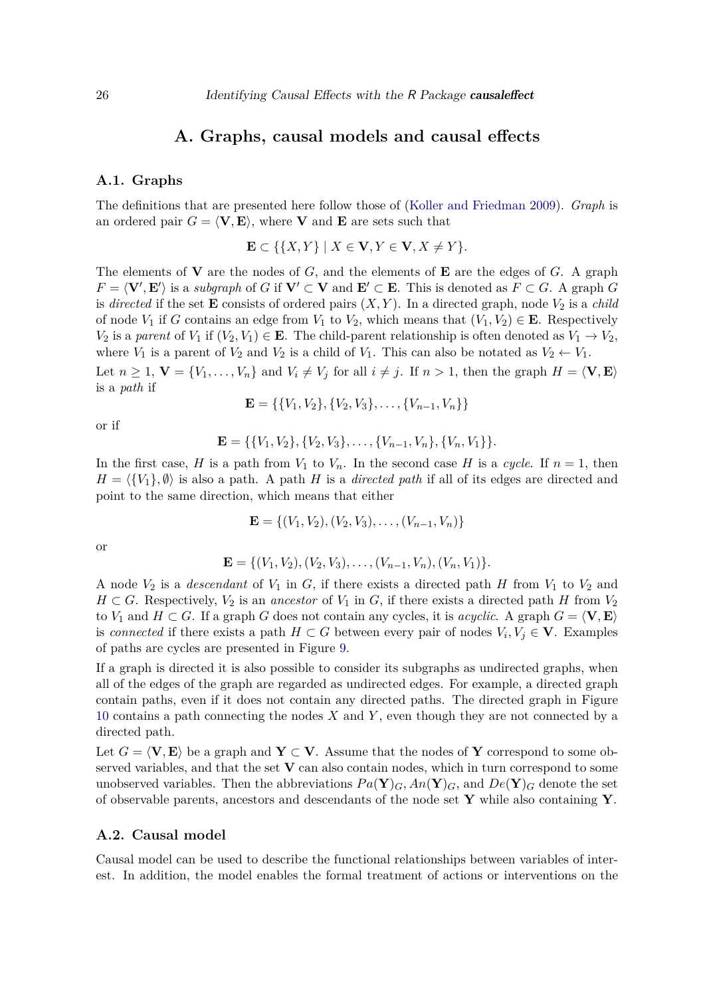### **A. Graphs, causal models and causal effects**

#### <span id="page-25-0"></span>**A.1. Graphs**

The definitions that are presented here follow those of [\(Koller and Friedman 2009\)](#page-23-2). *Graph* is an ordered pair  $G = \langle V, E \rangle$ , where **V** and **E** are sets such that

$$
\mathbf{E} \subset \{ \{X, Y\} \mid X \in \mathbf{V}, Y \in \mathbf{V}, X \neq Y \}.
$$

The elements of **V** are the nodes of *G*, and the elements of **E** are the edges of *G*. A graph  $F = \langle V', E' \rangle$  is a *subgraph* of *G* if  $V' \subset V$  and  $E' \subset E$ . This is denoted as  $F \subset G$ . A graph *G* is *directed* if the set **E** consists of ordered pairs  $(X, Y)$ . In a directed graph, node  $V_2$  is a *child* of node  $V_1$  if *G* contains an edge from  $V_1$  to  $V_2$ , which means that  $(V_1, V_2) \in \mathbf{E}$ . Respectively *V*<sub>2</sub> is a *parent* of *V*<sub>1</sub> if  $(V_2, V_1) \in \mathbf{E}$ . The child-parent relationship is often denoted as  $V_1 \rightarrow V_2$ , where  $V_1$  is a parent of  $V_2$  and  $V_2$  is a child of  $V_1$ . This can also be notated as  $V_2 \leftarrow V_1$ . Let  $n \geq 1$ ,  $\mathbf{V} = \{V_1, \ldots, V_n\}$  and  $V_i \neq V_j$  for all  $i \neq j$ . If  $n > 1$ , then the graph  $H = \langle \mathbf{V}, \mathbf{E} \rangle$ is a *path* if

$$
\mathbf{E} = \{ \{V_1, V_2\}, \{V_2, V_3\}, \dots, \{V_{n-1}, V_n\} \}
$$

or if

$$
\mathbf{E} = \{ \{V_1, V_2\}, \{V_2, V_3\}, \ldots, \{V_{n-1}, V_n\}, \{V_n, V_1\} \}.
$$

In the first case, *H* is a path from  $V_1$  to  $V_n$ . In the second case *H* is a *cycle*. If  $n = 1$ , then  $H = \langle \{V_1\}, \emptyset \rangle$  is also a path. A path *H* is a *directed path* if all of its edges are directed and point to the same direction, which means that either

$$
\mathbf{E} = \{ (V_1, V_2), (V_2, V_3), \dots, (V_{n-1}, V_n) \}
$$

or

$$
\mathbf{E} = \{ (V_1, V_2), (V_2, V_3), \dots, (V_{n-1}, V_n), (V_n, V_1) \}.
$$

A node  $V_2$  is a *descendant* of  $V_1$  in  $G$ , if there exists a directed path  $H$  from  $V_1$  to  $V_2$  and *H* ⊂ *G*. Respectively,  $V_2$  is an *ancestor* of  $V_1$  in *G*, if there exists a directed path *H* from  $V_2$ to *V*<sub>1</sub> and *H*  $\subset$  *G*. If a graph *G* does not contain any cycles, it is *acyclic*. A graph  $G = \langle$ **V***,* **E** $\rangle$ is *connected* if there exists a path  $H \subset G$  between every pair of nodes  $V_i, V_j \in V$ . Examples of paths are cycles are presented in Figure [9.](#page-26-0)

If a graph is directed it is also possible to consider its subgraphs as undirected graphs, when all of the edges of the graph are regarded as undirected edges. For example, a directed graph contain paths, even if it does not contain any directed paths. The directed graph in Figure [10](#page-26-1) contains a path connecting the nodes *X* and *Y* , even though they are not connected by a directed path.

Let  $G = \langle V, E \rangle$  be a graph and  $Y \subset V$ . Assume that the nodes of Y correspond to some observed variables, and that the set **V** can also contain nodes, which in turn correspond to some unobserved variables. Then the abbreviations  $Pa(Y)_{G}$ ,  $An(Y)_{G}$ , and  $De(Y)_{G}$  denote the set of observable parents, ancestors and descendants of the node set **Y** while also containing **Y**.

### **A.2. Causal model**

Causal model can be used to describe the functional relationships between variables of interest. In addition, the model enables the formal treatment of actions or interventions on the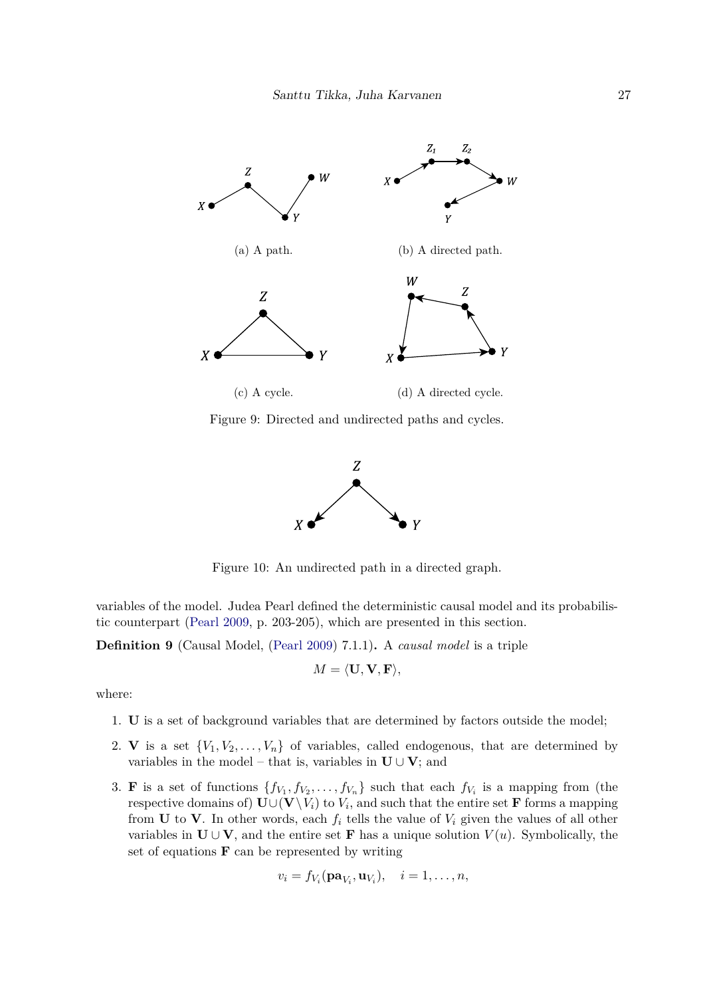<span id="page-26-0"></span>

<span id="page-26-1"></span>Figure 9: Directed and undirected paths and cycles.



Figure 10: An undirected path in a directed graph.

variables of the model. Judea Pearl defined the deterministic causal model and its probabilistic counterpart [\(Pearl 2009,](#page-23-1) p. 203-205), which are presented in this section.

**Definition 9** (Causal Model, [\(Pearl 2009\)](#page-23-1) 7.1.1)**.** A *causal model* is a triple

$$
M = \langle \mathbf{U}, \mathbf{V}, \mathbf{F} \rangle,
$$

where:

- 1. **U** is a set of background variables that are determined by factors outside the model;
- 2. **V** is a set  $\{V_1, V_2, \ldots, V_n\}$  of variables, called endogenous, that are determined by variables in the model – that is, variables in  $\mathbf{U} \cup \mathbf{V}$ ; and
- 3. **F** is a set of functions  $\{f_{V_1}, f_{V_2}, \ldots, f_{V_n}\}$  such that each  $f_{V_i}$  is a mapping from (the  $\text{respective domains of}$   $\textbf{U} \cup (\textbf{V} \setminus V_i)$  to  $V_i$ , and such that the entire set  $\textbf{F}$  forms a mapping from **U** to **V**. In other words, each  $f_i$  tells the value of  $V_i$  given the values of all other variables in  $\mathbf{U} \cup \mathbf{V}$ , and the entire set **F** has a unique solution  $V(u)$ . Symbolically, the set of equations **F** can be represented by writing

$$
v_i = f_{V_i}(\mathbf{pa}_{V_i}, \mathbf{u}_{V_i}), \quad i = 1, \dots, n,
$$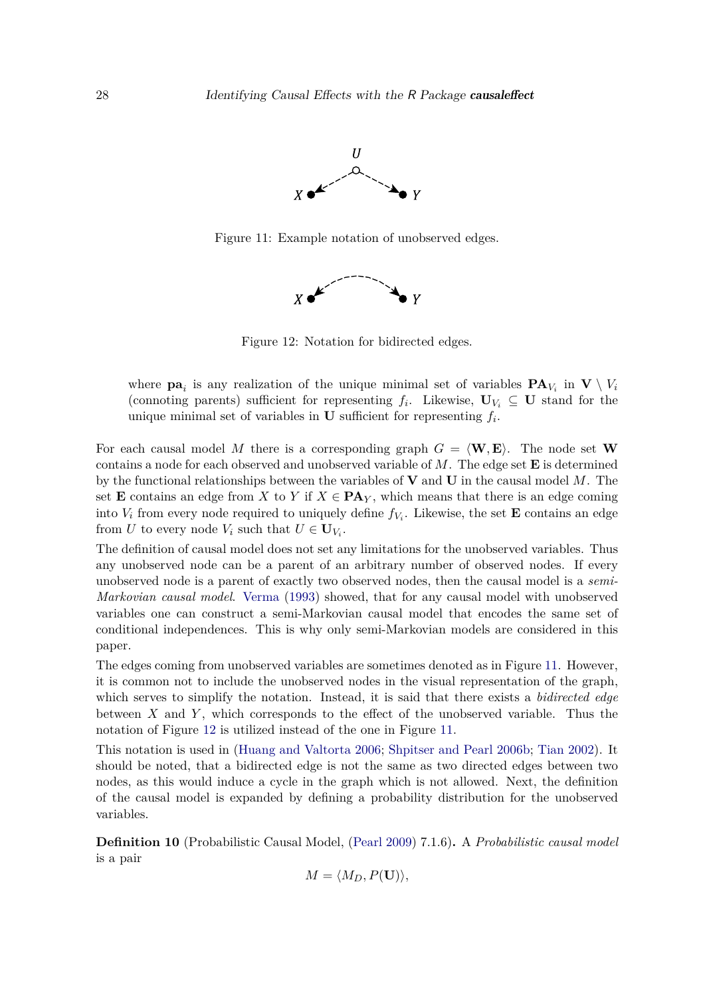

<span id="page-27-1"></span><span id="page-27-0"></span>Figure 11: Example notation of unobserved edges.



Figure 12: Notation for bidirected edges.

where  $\mathbf{pa}_i$  is any realization of the unique minimal set of variables  $\mathbf{PA}_{V_i}$  in  $\mathbf{V} \setminus V_i$ (connoting parents) sufficient for representing  $f_i$ . Likewise,  $\mathbf{U}_{V_i} \subseteq \mathbf{U}$  stand for the unique minimal set of variables in  $U$  sufficient for representing  $f_i$ .

For each causal model M there is a corresponding graph  $G = \langle \mathbf{W}, \mathbf{E} \rangle$ . The node set **W** contains a node for each observed and unobserved variable of *M*. The edge set **E** is determined by the functional relationships between the variables of **V** and **U** in the causal model *M*. The set **E** contains an edge from *X* to *Y* if  $X \in \mathbf{PA}_Y$ , which means that there is an edge coming into  $V_i$  from every node required to uniquely define  $f_{V_i}$ . Likewise, the set **E** contains an edge from *U* to every node  $V_i$  such that  $U \in U_{V_i}$ .

The definition of causal model does not set any limitations for the unobserved variables. Thus any unobserved node can be a parent of an arbitrary number of observed nodes. If every unobserved node is a parent of exactly two observed nodes, then the causal model is a *semi-Markovian causal model*. [Verma](#page-24-15) [\(1993\)](#page-24-15) showed, that for any causal model with unobserved variables one can construct a semi-Markovian causal model that encodes the same set of conditional independences. This is why only semi-Markovian models are considered in this paper.

The edges coming from unobserved variables are sometimes denoted as in Figure [11.](#page-27-0) However, it is common not to include the unobserved nodes in the visual representation of the graph, which serves to simplify the notation. Instead, it is said that there exists a *bidirected edge* between *X* and *Y* , which corresponds to the effect of the unobserved variable. Thus the notation of Figure [12](#page-27-1) is utilized instead of the one in Figure [11.](#page-27-0)

This notation is used in [\(Huang and Valtorta 2006;](#page-22-7) [Shpitser and Pearl 2006b;](#page-24-0) [Tian 2002\)](#page-24-8). It should be noted, that a bidirected edge is not the same as two directed edges between two nodes, as this would induce a cycle in the graph which is not allowed. Next, the definition of the causal model is expanded by defining a probability distribution for the unobserved variables.

**Definition 10** (Probabilistic Causal Model, [\(Pearl 2009\)](#page-23-1) 7.1.6)**.** A *Probabilistic causal model* is a pair

$$
M = \langle M_D, P(\mathbf{U}) \rangle,
$$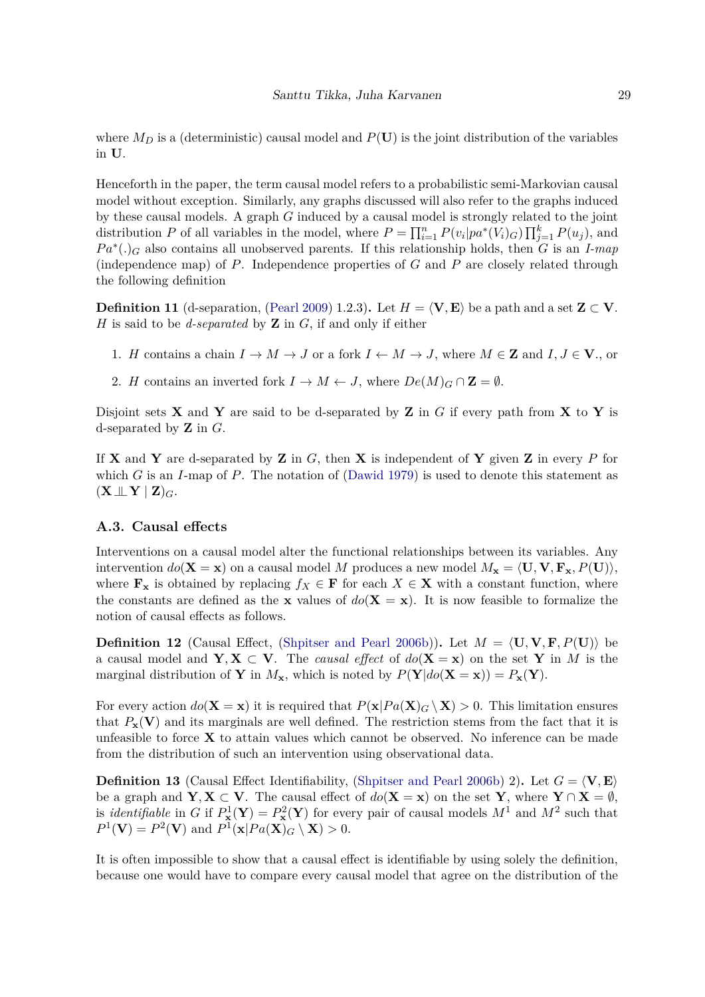where  $M_D$  is a (deterministic) causal model and  $P(U)$  is the joint distribution of the variables in **U**.

Henceforth in the paper, the term causal model refers to a probabilistic semi-Markovian causal model without exception. Similarly, any graphs discussed will also refer to the graphs induced by these causal models. A graph *G* induced by a causal model is strongly related to the joint distribution *P* of all variables in the model, where  $P = \prod_{i=1}^{n} P(v_i|pa^*(V_i)G) \prod_{j=1}^{k} P(u_j)$ , and *P a*<sup>∗</sup> (*.*)*<sup>G</sup>* also contains all unobserved parents. If this relationship holds, then *G* is an *I-map* (independence map) of *P*. Independence properties of *G* and *P* are closely related through the following definition

**Definition 11** (d-separation, [\(Pearl 2009\)](#page-23-1) 1.2.3). Let  $H = \langle V, E \rangle$  be a path and a set  $\mathbf{Z} \subset V$ . *H* is said to be *d-separated* by **Z** in *G*, if and only if either

- 1. *H* contains a chain  $I \to M \to J$  or a fork  $I \leftarrow M \to J$ , where  $M \in \mathbb{Z}$  and  $I, J \in \mathbb{V}$ ., or
- 2. *H* contains an inverted fork  $I \to M \leftarrow J$ , where  $De(M)_G \cap \mathbf{Z} = \emptyset$ .

Disjoint sets **X** and **Y** are said to be d-separated by **Z** in *G* if every path from **X** to **Y** is d-separated by **Z** in *G*.

If **X** and **Y** are d-separated by **Z** in  $G$ , then **X** is independent of **Y** given **Z** in every  $P$  for which *G* is an *I*-map of *P*. The notation of [\(Dawid 1979\)](#page-22-13) is used to denote this statement as  $(X \perp \!\!\!\perp Y \mid \mathbf{Z})_G$ .

#### **A.3. Causal effects**

Interventions on a causal model alter the functional relationships between its variables. Any intervention  $do(X = x)$  on a causal model *M* produces a new model  $M_x = \langle U, V, F_x, P(U) \rangle$ , where  $\mathbf{F}_x$  is obtained by replacing  $f_X \in \mathbf{F}$  for each  $X \in \mathbf{X}$  with a constant function, where the constants are defined as the **x** values of  $do(X = x)$ . It is now feasible to formalize the notion of causal effects as follows.

**Definition 12** (Causal Effect, [\(Shpitser and Pearl 2006b\)](#page-24-0)). Let  $M = \langle \mathbf{U}, \mathbf{V}, \mathbf{F}, P(\mathbf{U}) \rangle$  be a causal model and  $\mathbf{Y}, \mathbf{X} \subset \mathbf{V}$ . The *causal effect* of  $do(\mathbf{X} = \mathbf{x})$  on the set Y in M is the marginal distribution of **Y** in  $M_x$ , which is noted by  $P(Y|do(X = x)) = P_x(Y)$ .

For every action  $do(\mathbf{X} = \mathbf{x})$  it is required that  $P(\mathbf{x}|Pa(\mathbf{X})_G \setminus \mathbf{X}) > 0$ . This limitation ensures that  $P_{\mathbf{x}}(\mathbf{V})$  and its marginals are well defined. The restriction stems from the fact that it is unfeasible to force  $\bf{X}$  to attain values which cannot be observed. No inference can be made from the distribution of such an intervention using observational data.

**Definition 13** (Causal Effect Identifiability, [\(Shpitser and Pearl 2006b\)](#page-24-0) 2). Let  $G = \langle \mathbf{V}, \mathbf{E} \rangle$ be a graph and  $\mathbf{Y}, \mathbf{X} \subset \mathbf{V}$ . The causal effect of  $do(\mathbf{X} = \mathbf{x})$  on the set  $\mathbf{Y}$ , where  $\mathbf{Y} \cap \mathbf{X} = \emptyset$ . is *identifiable* in *G* if  $P^1_{\mathbf{x}}(\mathbf{Y}) = P^2_{\mathbf{x}}(\mathbf{Y})$  for every pair of causal models  $M^1$  and  $M^2$  such that  $P^1(\mathbf{V}) = P^2(\mathbf{V})$  and  $P^1(\mathbf{x}|Pa(\mathbf{X})_G \setminus \mathbf{X}) > 0$ .

It is often impossible to show that a causal effect is identifiable by using solely the definition, because one would have to compare every causal model that agree on the distribution of the